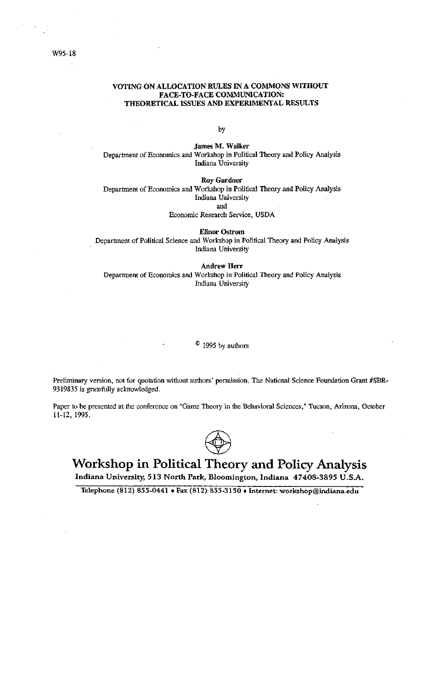#### W95-18

#### VOTING ON ALLOCATION RULES IN A COMMONS WITHOUT FACE-TO-FACE COMMUNICATION: THEORETICAL ISSUES AND EXPERIMENTAL RESULTS

by

James M. Walker Department of Economics and Workshop in Political Theory and Policy Analysis Indiana University

**Roy Gardner** 

Department of Economics and Workshop in Political Theory and Policy Analysis Indiana University and

Economic Research Service, USDA

**Elinor Ostrom** Department of Political Science and Workshop in Political Theory and Policy Analysis Indiana University

**Andrew Herr** Department of Economics and Workshop in Political Theory and Policy Analysis Indiana University

 $\degree$  1995 by authors

Preliminary version, not for quotation without authors' permission. The National Science Foundation Grant #SBR-9319835 is gratefully acknowledged.

Paper to be presented at the conference on "Game Theory in the Behavioral Sciences," Tucson, Arizona, October 11-12, 1995.



# Workshop in Political Theory and Policy Analysis

Indiana University, 513 North Park, Bloomington, Indiana 47408-3895 U.S.A.

Telephone (812) 855-0441 . Fax (812) 855-3150 . Internet: workshop@indiana.edu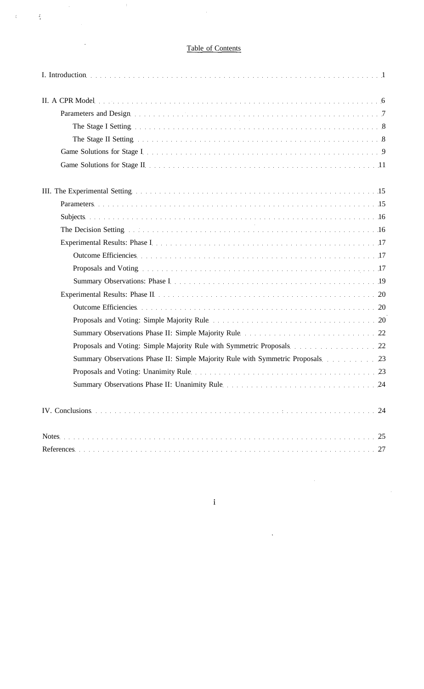# Table of Contents

 $\mathcal{A}^{\mathcal{A}}$ 

 $\sim 10^{11}$ 

 $\frac{1}{2}$ 

 $\hat{\mathcal{A}}$ 

 $\ddot{\phantom{0}}$ 

 $C_{\rm{max}}=L_{\rm{max}}$ 

| Parameters and Design entertainment of the contract of the contract of the contract of the contract of the contract of the contract of the contract of the contract of the contract of the contract of the contract of the con |
|--------------------------------------------------------------------------------------------------------------------------------------------------------------------------------------------------------------------------------|
|                                                                                                                                                                                                                                |
| The Stage II Setting entries are also assessed as a series of the stage of the Stage II Setting entries are also assessed as a series of $8$                                                                                   |
|                                                                                                                                                                                                                                |
|                                                                                                                                                                                                                                |
| III. The Experimental Setting encouragement of the setting of the setting of the experimental Setting encouragement of the setting of the setting of the setting of the setting of the setting of the setting of the setting o |
|                                                                                                                                                                                                                                |
|                                                                                                                                                                                                                                |
| The Decision Setting entry and the contract of the contract of the contract of the contract of the contract of the contract of the contract of the contract of the contract of the contract of the contract of the contract of |
|                                                                                                                                                                                                                                |
| Outcome Efficiencies                                                                                                                                                                                                           |
| Proposals and Voting.                                                                                                                                                                                                          |
|                                                                                                                                                                                                                                |
| Experimental Results: Phase II et al. (20) and the contract of the Contract of the Contract of the Contract of the Contract of the Contract of the Contract of the Contract of the Contract of the Contract of the Contract of |
|                                                                                                                                                                                                                                |
|                                                                                                                                                                                                                                |
|                                                                                                                                                                                                                                |
| Proposals and Voting: Simple Majority Rule with Symmetric Proposals. 22                                                                                                                                                        |
| Summary Observations Phase II: Simple Majority Rule with Symmetric Proposals 23                                                                                                                                                |
| Proposals and Voting: Unanimity Rule et al. (23) September 2014 (23) September 2014 (23)                                                                                                                                       |
| Summary Observations Phase II: Unanimity Rule Martin Martin Martin Martin 24                                                                                                                                                   |
| IV. Conclusions (Fig. 1993) 24                                                                                                                                                                                                 |
| Notes experiences in the contract of the contract of the contract of the contract of the contract of the 25                                                                                                                    |

 $\mathbf i$ 

 $\bar{\beta}$ 

 $\overline{1}$ 

 $\hat{\mathcal{A}}$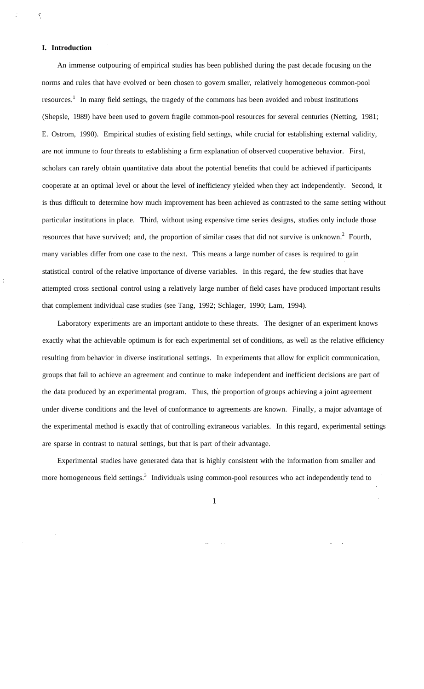#### **I. Introduction**

 $\tilde{\mathcal{L}}$ 

An immense outpouring of empirical studies has been published during the past decade focusing on the norms and rules that have evolved or been chosen to govern smaller, relatively homogeneous common-pool resources.<sup>1</sup> In many field settings, the tragedy of the commons has been avoided and robust institutions (Shepsle, 1989) have been used to govern fragile common-pool resources for several centuries (Netting, 1981; E. Ostrom, 1990). Empirical studies of existing field settings, while crucial for establishing external validity, are not immune to four threats to establishing a firm explanation of observed cooperative behavior. First, scholars can rarely obtain quantitative data about the potential benefits that could be achieved if participants cooperate at an optimal level or about the level of inefficiency yielded when they act independently. Second, it is thus difficult to determine how much improvement has been achieved as contrasted to the same setting without particular institutions in place. Third, without using expensive time series designs, studies only include those resources that have survived; and, the proportion of similar cases that did not survive is unknown.<sup>2</sup> Fourth, many variables differ from one case to the next. This means a large number of cases is required to gain statistical control of the relative importance of diverse variables. In this regard, the few studies that have attempted cross sectional control using a relatively large number of field cases have produced important results that complement individual case studies (see Tang, 1992; Schlager, 1990; Lam, 1994).

Laboratory experiments are an important antidote to these threats. The designer of an experiment knows exactly what the achievable optimum is for each experimental set of conditions, as well as the relative efficiency resulting from behavior in diverse institutional settings. In experiments that allow for explicit communication, groups that fail to achieve an agreement and continue to make independent and inefficient decisions are part of the data produced by an experimental program. Thus, the proportion of groups achieving a joint agreement under diverse conditions and the level of conformance to agreements are known. Finally, a major advantage of the experimental method is exactly that of controlling extraneous variables. In this regard, experimental settings are sparse in contrast to natural settings, but that is part of their advantage.

Experimental studies have generated data that is highly consistent with the information from smaller and more homogeneous field settings.<sup>3</sup> Individuals using common-pool resources who act independently tend to

 $\mathbf 1$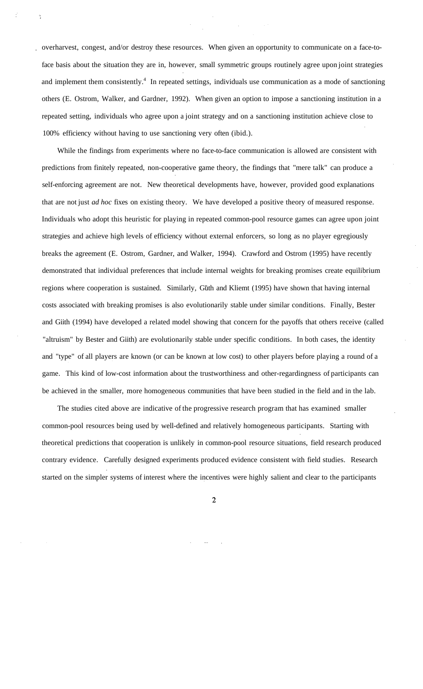overharvest, congest, and/or destroy these resources. When given an opportunity to communicate on a face-toface basis about the situation they are in, however, small symmetric groups routinely agree upon joint strategies and implement them consistently.<sup>4</sup> In repeated settings, individuals use communication as a mode of sanctioning others (E. Ostrom, Walker, and Gardner, 1992). When given an option to impose a sanctioning institution in a repeated setting, individuals who agree upon a joint strategy and on a sanctioning institution achieve close to 100% efficiency without having to use sanctioning very often (ibid.).

While the findings from experiments where no face-to-face communication is allowed are consistent with predictions from finitely repeated, non-cooperative game theory, the findings that "mere talk" can produce a self-enforcing agreement are not. New theoretical developments have, however, provided good explanations that are not just *ad hoc* fixes on existing theory. We have developed a positive theory of measured response. Individuals who adopt this heuristic for playing in repeated common-pool resource games can agree upon joint strategies and achieve high levels of efficiency without external enforcers, so long as no player egregiously breaks the agreement (E. Ostrom, Gardner, and Walker, 1994). Crawford and Ostrom (1995) have recently demonstrated that individual preferences that include internal weights for breaking promises create equilibrium regions where cooperation is sustained. Similarly, Güth and Kliemt (1995) have shown that having internal costs associated with breaking promises is also evolutionarily stable under similar conditions. Finally, Bester and Giith (1994) have developed a related model showing that concern for the payoffs that others receive (called "altruism" by Bester and Giith) are evolutionarily stable under specific conditions. In both cases, the identity and "type" of all players are known (or can be known at low cost) to other players before playing a round of a game. This kind of low-cost information about the trustworthiness and other-regardingness of participants can be achieved in the smaller, more homogeneous communities that have been studied in the field and in the lab.

The studies cited above are indicative of the progressive research program that has examined smaller common-pool resources being used by well-defined and relatively homogeneous participants. Starting with theoretical predictions that cooperation is unlikely in common-pool resource situations, field research produced contrary evidence. Carefully designed experiments produced evidence consistent with field studies. Research started on the simpler systems of interest where the incentives were highly salient and clear to the participants

 $\overline{2}$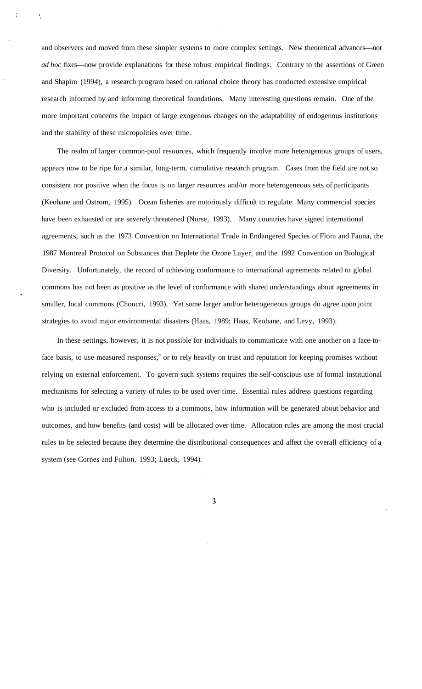and observers and moved from these simpler systems to more complex settings. New theoretical advances—not *ad hoc* fixes—now provide explanations for these robust empirical findings. Contrary to the assertions of Green and Shapiro (1994), a research program based on rational choice theory has conducted extensive empirical research informed by and informing theoretical foundations. Many interesting questions remain. One of the more important concerns the impact of large exogenous changes on the adaptability of endogenous institutions and the stability of these micropolities over time.

The realm of larger common-pool resources, which frequently involve more heterogenous groups of users, appears now to be ripe for a similar, long-term, cumulative research program. Cases from the field are not so consistent nor positive when the focus is on larger resources and/or more heterogeneous sets of participants (Keohane and Ostrom, 1995). Ocean fisheries are notoriously difficult to regulate. Many commercial species have been exhausted or are severely threatened (Norse, 1993). Many countries have signed international agreements, such as the 1973 Convention on International Trade in Endangered Species of Flora and Fauna, the 1987 Montreal Protocol on Substances that Deplete the Ozone Layer, and the 1992 Convention on Biological Diversity. Unfortunately, the record of achieving conformance to international agreements related to global commons has not been as positive as the level of conformance with shared understandings about agreements in smaller, local commons (Choucri, 1993). Yet some larger and/or heterogeneous groups do agree upon joint strategies to avoid major environmental disasters (Haas, 1989; Haas, Keohane, and Levy, 1993).

In these settings, however, it is not possible for individuals to communicate with one another on a face-toface basis, to use measured responses,<sup>5</sup> or to rely heavily on trust and reputation for keeping promises without relying on external enforcement. To govern such systems requires the self-conscious use of formal institutional mechanisms for selecting a variety of rules to be used over time. Essential rules address questions regarding who is included or excluded from access to a commons, how information will be generated about behavior and outcomes, and how benefits (and costs) will be allocated over time. Allocation rules are among the most crucial rules to be selected because they determine the distributional consequences and affect the overall efficiency of a system (see Cornes and Fulton, 1993; Lueck, 1994).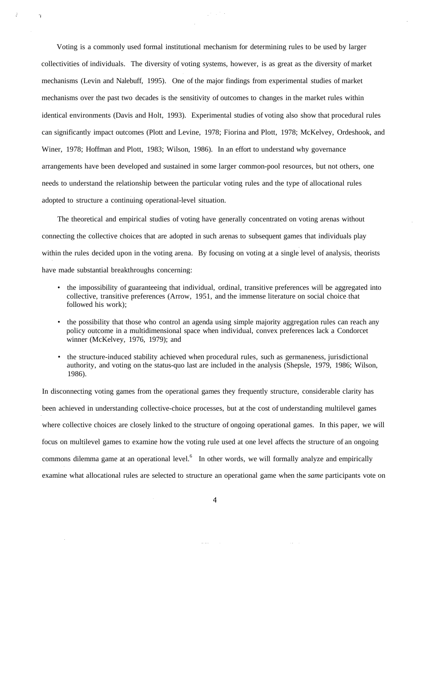Voting is a commonly used formal institutional mechanism for determining rules to be used by larger collectivities of individuals. The diversity of voting systems, however, is as great as the diversity of market mechanisms (Levin and Nalebuff, 1995). One of the major findings from experimental studies of market mechanisms over the past two decades is the sensitivity of outcomes to changes in the market rules within identical environments (Davis and Holt, 1993). Experimental studies of voting also show that procedural rules can significantly impact outcomes (Plott and Levine, 1978; Fiorina and Plott, 1978; McKelvey, Ordeshook, and Winer, 1978; Hoffman and Plott, 1983; Wilson, 1986). In an effort to understand why governance arrangements have been developed and sustained in some larger common-pool resources, but not others, one needs to understand the relationship between the particular voting rules and the type of allocational rules adopted to structure a continuing operational-level situation.

 $\frac{1}{2} \frac{1}{2} \frac{1}{2} \frac{1}{2} \frac{1}{2} \frac{1}{2}$ 

 $\mathbf{q}$ 

The theoretical and empirical studies of voting have generally concentrated on voting arenas without connecting the collective choices that are adopted in such arenas to subsequent games that individuals play within the rules decided upon in the voting arena. By focusing on voting at a single level of analysis, theorists have made substantial breakthroughs concerning:

- the impossibility of guaranteeing that individual, ordinal, transitive preferences will be aggregated into collective, transitive preferences (Arrow, 1951, and the immense literature on social choice that followed his work);
- the possibility that those who control an agenda using simple majority aggregation rules can reach any policy outcome in a multidimensional space when individual, convex preferences lack a Condorcet winner (McKelvey, 1976, 1979); and
- the structure-induced stability achieved when procedural rules, such as germaneness, jurisdictional authority, and voting on the status-quo last are included in the analysis (Shepsle, 1979, 1986; Wilson, 1986).

In disconnecting voting games from the operational games they frequently structure, considerable clarity has been achieved in understanding collective-choice processes, but at the cost of understanding multilevel games where collective choices are closely linked to the structure of ongoing operational games. In this paper, we will focus on multilevel games to examine how the voting rule used at one level affects the structure of an ongoing commons dilemma game at an operational level.<sup>6</sup> In other words, we will formally analyze and empirically examine what allocational rules are selected to structure an operational game when the *same* participants vote on

 $\alpha$  ,  $\beta$  ,  $\alpha$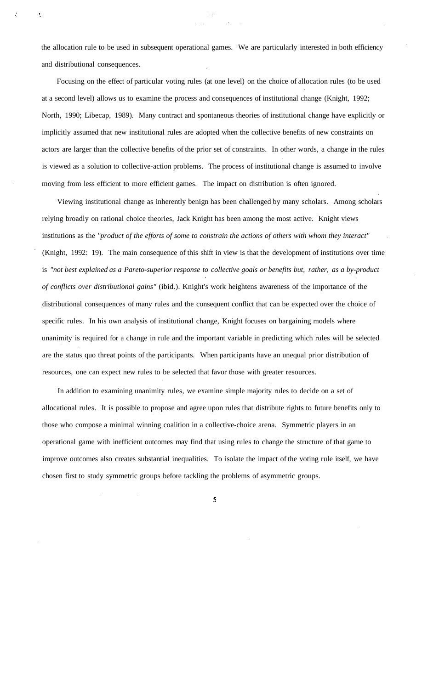the allocation rule to be used in subsequent operational games. We are particularly interested in both efficiency and distributional consequences.

Focusing on the effect of particular voting rules (at one level) on the choice of allocation rules (to be used at a second level) allows us to examine the process and consequences of institutional change (Knight, 1992; North, 1990; Libecap, 1989). Many contract and spontaneous theories of institutional change have explicitly or implicitly assumed that new institutional rules are adopted when the collective benefits of new constraints on actors are larger than the collective benefits of the prior set of constraints. In other words, a change in the rules is viewed as a solution to collective-action problems. The process of institutional change is assumed to involve moving from less efficient to more efficient games. The impact on distribution is often ignored.

Viewing institutional change as inherently benign has been challenged by many scholars. Among scholars relying broadly on rational choice theories, Jack Knight has been among the most active. Knight views institutions as the *"product of the efforts of some to constrain the actions of others with whom they interact"* (Knight, 1992: 19). The main consequence of this shift in view is that the development of institutions over time is *"not best explained as a Pareto-superior response to collective goals or benefits but, rather, as a by-product of conflicts over distributional gains"* (ibid.). Knight's work heightens awareness of the importance of the distributional consequences of many rules and the consequent conflict that can be expected over the choice of specific rules. In his own analysis of institutional change, Knight focuses on bargaining models where unanimity is required for a change in rule and the important variable in predicting which rules will be selected are the status quo threat points of the participants. When participants have an unequal prior distribution of resources, one can expect new rules to be selected that favor those with greater resources.

In addition to examining unanimity rules, we examine simple majority rules to decide on a set of allocational rules. It is possible to propose and agree upon rules that distribute rights to future benefits only to those who compose a minimal winning coalition in a collective-choice arena. Symmetric players in an operational game with inefficient outcomes may find that using rules to change the structure of that game to improve outcomes also creates substantial inequalities. To isolate the impact of the voting rule itself, we have chosen first to study symmetric groups before tackling the problems of asymmetric groups.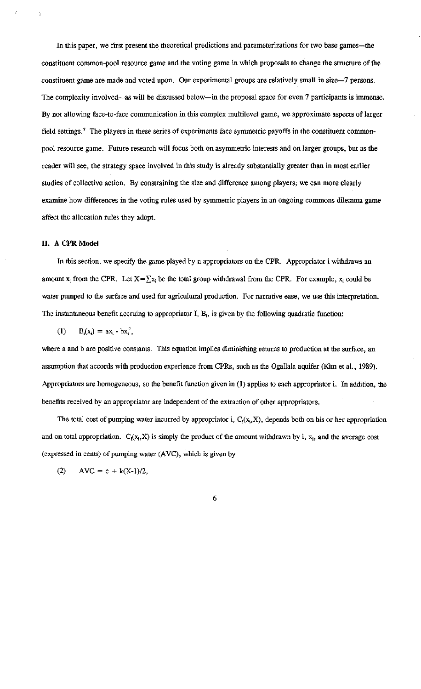In this paper, we first present the theoretical predictions and parameterizations for two base games—the constituent common-pool resource game and the voting game in which proposals to change the structure of the constituent game are made and voted upon. Our experimental groups are relatively small in size-7 persons. The complexity involved—as will be discussed below—in the proposal space for even 7 participants is immense. By not allowing face-to-face communication in this complex multilevel game, we approximate aspects of larger field settings.<sup>7</sup> The players in these series of experiments face symmetric payoffs in the constituent commonpool resource game. Future research will focus both on asymmetric interests and on larger groups, but as the reader will see, the strategy space involved in this study is already substantially greater than in most earlier studies of collective action. By constraining the size and difference among players, we can more clearly examine how differences in the voting rules used by symmetric players in an ongoing commons dilemma game affect the allocation rules they adopt.

#### II. A CPR Model

In this section, we specify the game played by n appropriators on the CPR. Appropriator i withdraws an amount  $x_i$  from the CPR. Let  $X = \sum x_i$  be the total group withdrawal from the CPR. For example,  $x_i$  could be water pumped to the surface and used for agricultural production. For narrative ease, we use this interpretation. The instantaneous benefit accruing to appropriator  $I$ ,  $B_i$ , is given by the following quadratic function:

 $(1)$  $B_i(x_i) = ax_i - bx_i^2$ ,

where a and b are positive constants. This equation implies diminishing returns to production at the surface, an assumption that accords with production experience from CPRs, such as the Ogallala aquifer (Kim et al., 1989). Appropriators are homogeneous, so the benefit function given in (1) applies to each appropriator i. In addition, the benefits received by an appropriator are independent of the extraction of other appropriators.

The total cost of pumping water incurred by appropriator i,  $C_i(x_i, X)$ , depends both on his or her appropriation and on total appropriation.  $C_i(x_i, X)$  is simply the product of the amount withdrawn by i,  $x_i$ , and the average cost (expressed in cents) of pumping water (AVC), which is given by

 $AVC = c + k(X-1)/2,$  $(2)$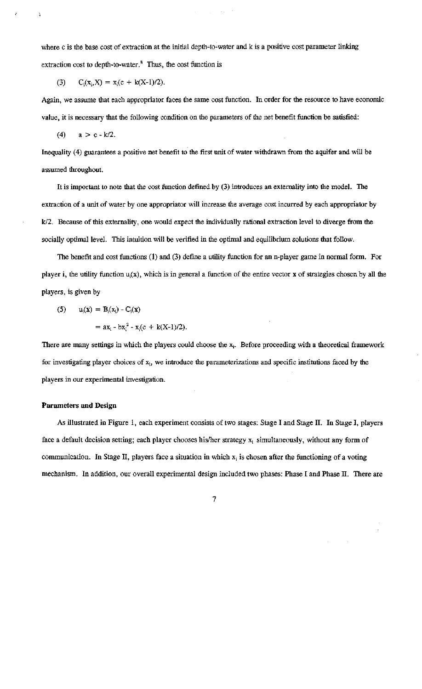where c is the base cost of extraction at the initial depth-to-water and k is a positive cost parameter linking extraction cost to depth-to-water.<sup>8</sup> Thus, the cost function is

 $\mathcal{L}^{\text{max}}$ 

(3) 
$$
C_i(x_i, X) = x_i(c + k(X-1)/2).
$$

Again, we assume that each appropriator faces the same cost function. In order for the resource to have economic value, it is necessary that the following condition on the parameters of the net benefit function be satisfied:

 $\mathcal{L}_{\text{max}}$  , and  $\mathcal{L}_{\text{max}}$ 

 $a > c - k/2$ .  $(4)$ 

 $\overline{\mathbf{a}}$ 

Inequality (4) guarantees a positive net benefit to the first unit of water withdrawn from the aquifer and will be assumed throughout.

It is important to note that the cost function defined by (3) introduces an externality into the model. The extraction of a unit of water by one appropriator will increase the average cost incurred by each appropriator by k/2. Because of this externality, one would expect the individually rational extraction level to diverge from the socially optimal level. This intuition will be verified in the optimal and equilibrium solutions that follow.

The benefit and cost functions  $(1)$  and  $(3)$  define a utility function for an n-player game in normal form. For player i, the utility function  $u_i(x)$ , which is in general a function of the entire vector x of strategies chosen by all the players, is given by

(5) 
$$
u_i(x) = B_i(x_i) - C_i(x)
$$

$$
= ax_i - bx_i^2 - x_i(c + k(X-1)/2).
$$

There are many settings in which the players could choose the  $x_i$ . Before proceeding with a theoretical framework for investigating player choices of x<sub>i</sub>, we introduce the parameterizations and specific institutions faced by the players in our experimental investigation.

#### **Parameters and Design**

As illustrated in Figure 1, each experiment consists of two stages: Stage I and Stage II. In Stage I, players face a default decision setting; each player chooses his/her strategy  $x_i$  simultaneously, without any form of communication. In Stage II, players face a situation in which  $x_i$  is chosen after the functioning of a voting mechanism. In addition, our overall experimental design included two phases: Phase I and Phase II. There are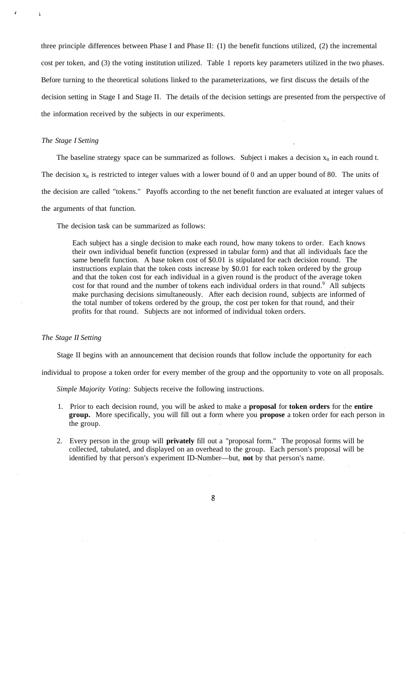three principle differences between Phase I and Phase II: (1) the benefit functions utilized, (2) the incremental cost per token, and (3) the voting institution utilized. Table 1 reports key parameters utilized in the two phases. Before turning to the theoretical solutions linked to the parameterizations, we first discuss the details of the decision setting in Stage I and Stage II. The details of the decision settings are presented from the perspective of the information received by the subjects in our experiments.

#### *The Stage I Setting*

j.

The baseline strategy space can be summarized as follows. Subject i makes a decision  $x_{it}$  in each round t. The decision  $x_{it}$  is restricted to integer values with a lower bound of 0 and an upper bound of 80. The units of the decision are called "tokens." Payoffs according to the net benefit function are evaluated at integer values of

the arguments of that function.

The decision task can be summarized as follows:

Each subject has a single decision to make each round, how many tokens to order. Each knows their own individual benefit function (expressed in tabular form) and that all individuals face the same benefit function. A base token cost of \$0.01 is stipulated for each decision round. The instructions explain that the token costs increase by \$0.01 for each token ordered by the group and that the token cost for each individual in a given round is the product of the average token cost for that round and the number of tokens each individual orders in that round.<sup>9</sup> All subjects make purchasing decisions simultaneously. After each decision round, subjects are informed of the total number of tokens ordered by the group, the cost per token for that round, and their profits for that round. Subjects are not informed of individual token orders.

#### *The Stage II Setting*

Stage II begins with an announcement that decision rounds that follow include the opportunity for each

individual to propose a token order for every member of the group and the opportunity to vote on all proposals.

*Simple Majority Voting:* Subjects receive the following instructions.

- 1. Prior to each decision round, you will be asked to make a **proposal** for **token orders** for the **entire group.** More specifically, you will fill out a form where you **propose** a token order for each person in the group.
- 2. Every person in the group will **privately** fill out a "proposal form." The proposal forms will be collected, tabulated, and displayed on an overhead to the group. Each person's proposal will be identified by that person's experiment ID-Number—but, **not** by that person's name.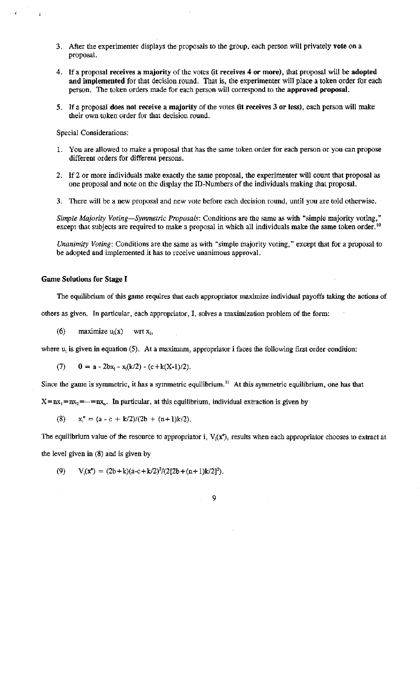- 3. After the experimenter displays the proposals to the group, each person will privately vote on a proposal.
- 4. If a proposal receives a majority of the votes (it receives 4 or more), that proposal will be adopted and implemented for that decision round. That is, the experimenter will place a token order for each person. The token orders made for each person will correspond to the approved proposal.
- 5. If a proposal does not receive a majority of the votes (it receives 3 or less), each person will make their own token order for that decision round.

Special Considerations:

- 1. You are allowed to make a proposal that has the same token order for each person or you can propose different orders for different persons.
- 2. If 2 or more individuals make exactly the same proposal, the experimenter will count that proposal as one proposal and note on the display the ID-Numbers of the individuals making that proposal.
- 3. There will be a new proposal and new vote before each decision round, until you are told otherwise.

Simple Majority Voting-Symmetric Proposals: Conditions are the same as with "simple majority voting," except that subjects are required to make a proposal in which all individuals make the same token order.<sup>10</sup>

Unanimity Voting: Conditions are the same as with "simple majority voting," except that for a proposal to be adopted and implemented it has to receive unanimous approval.

#### **Game Solutions for Stage I**

The equilibrium of this game requires that each appropriator maximize individual payoffs taking the actions of

others as given. In particular, each appropriator, I, solves a maximization problem of the form:

 $(6)$ maximize  $u_i(x)$  wrt  $x_i$ ,

where  $u_i$  is given in equation (5). At a maximum, appropriator i faces the following first order condition:

 $0 = a - 2bx_i - x_i(k/2) - (c + k(X-1)/2).$  $(7)$ 

Since the game is symmetric, it has a symmetric equilibrium.<sup>11</sup> At this symmetric equilibrium, one has that

 $X = nx_1 = nx_2 = ... = nx_n$ . In particular, at this equilibrium, individual extraction is given by

 $x_i^e = (a - c + k/2)/(2b + (n+1)k/2).$ (8)

The equilibrium value of the resource to appropriator i,  $V_i(x^e)$ , results when each appropriator chooses to extract at

the level given in (8) and is given by

 $(9)$  $V_i(x^e) = (2b+k)(a-c+k/2)^2/(2[2b+(n+1)k/2]^2)$ .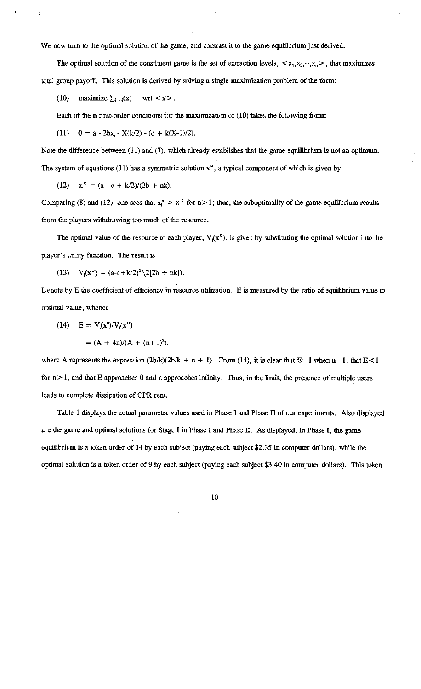We now turn to the optimal solution of the game, and contrast it to the game equilibrium just derived.

The optimal solution of the constituent game is the set of extraction levels,  $\langle x_1, x_2, ..., x_n \rangle$ , that maximizes total group payoff. This solution is derived by solving a single maximization problem of the form:

(10) maximize  $\sum_i u_i(x)$  $wrt < x$ .

Each of the n first-order conditions for the maximization of (10) takes the following form:

(11) 
$$
0 = a - 2bx_i - X(k/2) - (c + k(X-1)/2).
$$

Note the difference between (11) and (7), which already establishes that the game equilibrium is not an optimum. The system of equations (11) has a symmetric solution  $x^{\circ}$ , a typical component of which is given by

(12)  $x_i^o = (a - c + k/2)/(2b + nk)$ .

Comparing (8) and (12), one sees that  $x_i^* > x_i^*$  for  $n > 1$ ; thus, the suboptimality of the game equilibrium results from the players withdrawing too much of the resource.

The optimal value of the resource to each player,  $V_i(x^{\circ})$ , is given by substituting the optimal solution into the player's utility function. The result is

(13)  $V_i(x^{\circ}) = (a-c+k/2)^2/(2[2b + nk]).$ 

Denote by E the coefficient of efficiency in resource utilization. E is measured by the ratio of equilibrium value to optimal value, whence

$$
(14) \quad E = V_i(\mathbf{x}^e)/V_i(\mathbf{x}^o)
$$

$$
= (A + 4n)/(A + (n+1)^2),
$$

where A represents the expression  $(2b/k)(2b/k + n + 1)$ . From (14), it is clear that E=1 when n=1, that E<1 for  $n > 1$ , and that E approaches 0 and n approaches infinity. Thus, in the limit, the presence of multiple users leads to complete dissipation of CPR rent.

Table 1 displays the actual parameter values used in Phase I and Phase II of our experiments. Also displayed are the game and optimal solutions for Stage I in Phase I and Phase II. As displayed, in Phase I, the game equilibrium is a token order of 14 by each subject (paying each subject \$2.35 in computer dollars), while the optimal solution is a token order of 9 by each subject (paying each subject \$3.40 in computer dollars). This token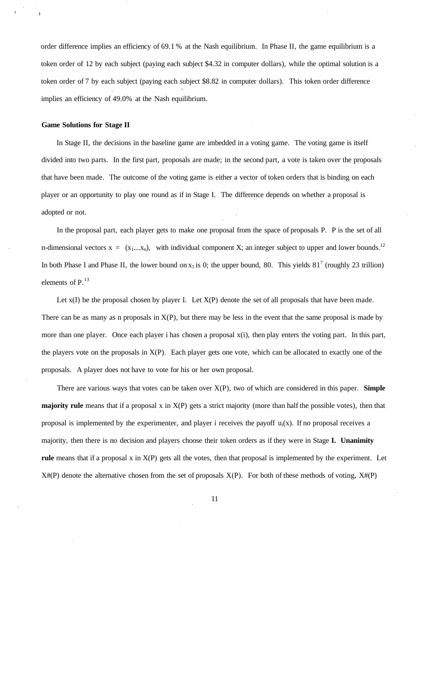order difference implies an efficiency of 69.1 % at the Nash equilibrium. In Phase II, the game equilibrium is a token order of 12 by each subject (paying each subject \$4.32 in computer dollars), while the optimal solution is a token order of 7 by each subject (paying each subject \$8.82 in computer dollars). This token order difference implies an efficiency of 49.0% at the Nash equilibrium.

#### **Game Solutions for Stage II**

In Stage II, the decisions in the baseline game are imbedded in a voting game. The voting game is itself divided into two parts. In the first part, proposals are made; in the second part, a vote is taken over the proposals that have been made. The outcome of the voting game is either a vector of token orders that is binding on each player or an opportunity to play one round as if in Stage I. The difference depends on whether a proposal is adopted or not.

In the proposal part, each player gets to make one proposal from the space of proposals P. P is the set of all n-dimensional vectors  $x = (x_1,...x_n)$ , with individual component X; an integer subject to upper and lower bounds.<sup>12</sup> In both Phase I and Phase II, the lower bound on  $x_1$  is 0; the upper bound, 80. This yields 81<sup>7</sup> (roughly 23 trillion) elements of  $P<sup>13</sup>$ .

Let  $x(I)$  be the proposal chosen by player I. Let  $X(P)$  denote the set of all proposals that have been made. There can be as many as n proposals in  $X(P)$ , but there may be less in the event that the same proposal is made by more than one player. Once each player i has chosen a proposal  $x(i)$ , then play enters the voting part. In this part, the players vote on the proposals in X(P). Each player gets one vote, which can be allocated to exactly one of the proposals. A player does not have to vote for his or her own proposal.

There are various ways that votes can be taken over X(P), two of which are considered in this paper. **Simple majority rule** means that if a proposal x in X(P) gets a strict majority (more than half the possible votes), then that proposal is implemented by the experimenter, and player i receives the payoff  $u_i(x)$ . If no proposal receives a majority, then there is no decision and players choose their token orders as if they were in Stage **I. Unanimity rule** means that if a proposal x in X(P) gets all the votes, then that proposal is implemented by the experiment. Let  $X#(P)$  denote the alternative chosen from the set of proposals  $X(P)$ . For both of these methods of voting,  $X#(P)$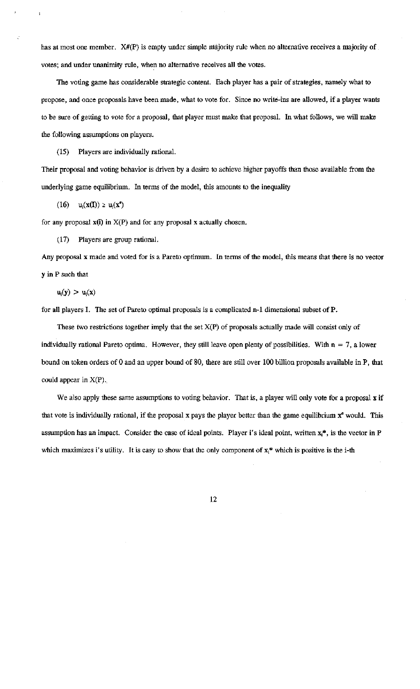has at most one member. X#(P) is empty under simple majority rule when no alternative receives a majority of votes; and under unanimity rule, when no alternative receives all the votes.

The voting game has considerable strategic content. Each player has a pair of strategies, namely what to propose, and once proposals have been made, what to vote for. Since no write-ins are allowed, if a player wants to be sure of getting to vote for a proposal, that player must make that proposal. In what follows, we will make the following assumptions on players.

(15) Players are individually rational.

Their proposal and voting behavior is driven by a desire to achieve higher payoffs than those available from the underlying game equilibrium. In terms of the model, this amounts to the inequality

 $(16)$   $u_i(x(I)) \ge u_i(x^*)$ 

for any proposal  $x(i)$  in  $X(P)$  and for any proposal  $x$  actually chosen.

(17) Players are group rational.

Any proposal x made and voted for is a Pareto optimum. In terms of the model, this means that there is no vector y in P such that

 $u_i(y) > u_i(x)$ 

for all players I. The set of Pareto optimal proposals is a complicated n-1 dimensional subset of P.

These two restrictions together imply that the set  $X(P)$  of proposals actually made will consist only of individually rational Pareto optima. However, they still leave open plenty of possibilities. With  $n = 7$ , a lower bound on token orders of 0 and an upper bound of 80, there are still over 100 billion proposals available in P, that could appear in  $X(P)$ .

We also apply these same assumptions to voting behavior. That is, a player will only vote for a proposal x if that vote is individually rational, if the proposal x pays the player better than the game equilibrium x<sup>o</sup> would. This assumption has an impact. Consider the case of ideal points. Player i's ideal point, written  $x_i^*$ , is the vector in P which maximizes i's utility. It is easy to show that the only component of  $x_i^*$  which is positive is the i-th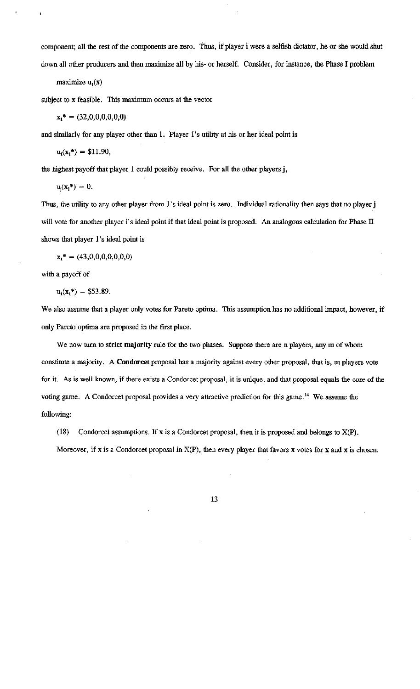component; all the rest of the components are zero. Thus, if player i were a selfish dictator, he or she would shut down all other producers and then maximize all by his- or herself. Consider, for instance, the Phase I problem

maximize  $u_1(x)$ 

subject to x feasible. This maximum occurs at the vector

$$
\mathbf{x_1}^* = (32,0,0,0,0,0,0)
$$

and similarly for any player other than 1. Player 1's utility at his or her ideal point is

$$
u_1(x_1^*) = \$11.90,
$$

the highest payoff that player 1 could possibly receive. For all the other players j,

 $\label{eq:u} \textbf{u}_i(\textbf{x}_1*)=0.$ 

Thus, the utility to any other player from 1's ideal point is zero. Individual rationality then says that no player j will vote for another player i's ideal point if that ideal point is proposed. An analogous calculation for Phase II shows that player 1's ideal point is

 $x_1^* = (43,0,0,0,0,0,0,0)$ 

with a payoff of

$$
u_1(x_1^*) = $53.89.
$$

We also assume that a player only votes for Pareto optima. This assumption has no additional impact, however, if only Pareto optima are proposed in the first place.

We now turn to strict majority rule for the two phases. Suppose there are n players, any m of whom constitute a majority. A Condorcet proposal has a majority against every other proposal, that is, m players vote for it. As is well known, if there exists a Condorcet proposal, it is unique, and that proposal equals the core of the voting game. A Condorcet proposal provides a very attractive prediction for this game.<sup>14</sup> We assume the following:

 $(18)$ Condorcet assumptions. If x is a Condorcet proposal, then it is proposed and belongs to  $X(P)$ .

Moreover, if x is a Condorcet proposal in  $X(P)$ , then every player that favors x votes for x and x is chosen.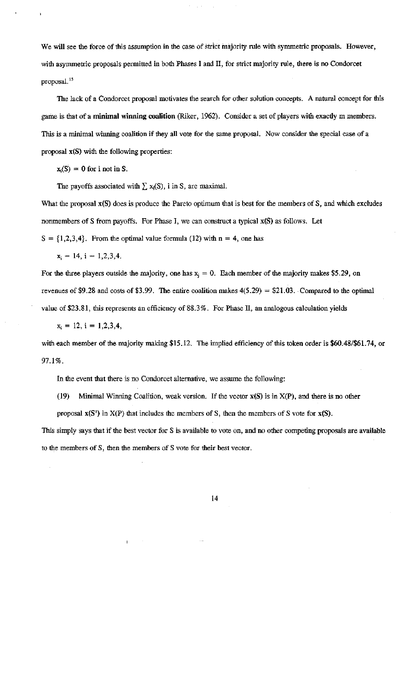We will see the force of this assumption in the case of strict majority rule with symmetric proposals. However, with asymmetric proposals permitted in both Phases I and II, for strict majority rule, there is no Condorcet proposal.<sup>15</sup>

The lack of a Condorcet proposal motivates the search for other solution concepts. A natural concept for this game is that of a minimal winning coalition (Riker, 1962). Consider a set of players with exactly m members. This is a minimal winning coalition if they all vote for the same proposal. Now consider the special case of a proposal x(S) with the following properties:

 $x_i(S) = 0$  for i not in S.

The payoffs associated with  $\sum x_i(S)$ , i in S, are maximal.

What the proposal x(S) does is produce the Pareto optimum that is best for the members of S, and which excludes nonmembers of S from payoffs. For Phase I, we can construct a typical  $x(S)$  as follows. Let

 $S = \{1,2,3,4\}$ . From the optimal value formula (12) with  $n = 4$ , one has

 $x_i = 14$ ,  $i = 1,2,3,4$ .

For the three players outside the majority, one has  $x_i = 0$ . Each member of the majority makes \$5.29, on revenues of \$9.28 and costs of \$3.99. The entire coalition makes  $4(5.29) = $21.03$ . Compared to the optimal value of \$23.81, this represents an efficiency of 88.3%. For Phase II, an analogous calculation yields

$$
x_i = 12, i = 1,2,3,4,
$$

with each member of the majority making \$15.12. The implied efficiency of this token order is \$60.48/\$61.74, or 97.1%.

In the event that there is no Condorcet alternative, we assume the following:

(19) Minimal Winning Coalition, weak version. If the vector  $x(S)$  is in  $X(P)$ , and there is no other

proposal  $x(S')$  in  $X(P)$  that includes the members of S, then the members of S vote for  $x(S)$ .

This simply says that if the best vector for S is available to vote on, and no other competing proposals are available to the members of S, then the members of S vote for their best vector.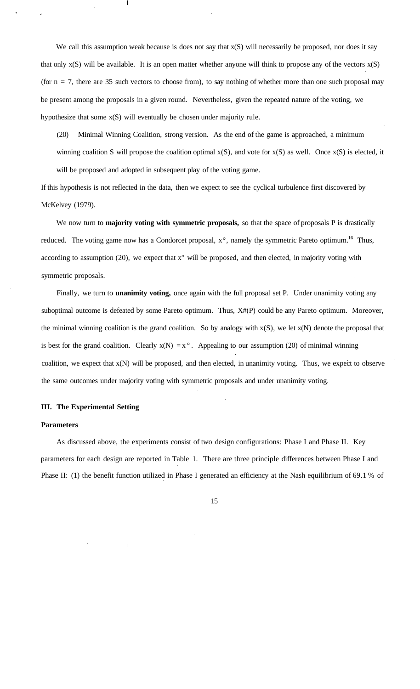We call this assumption weak because is does not say that  $x(S)$  will necessarily be proposed, nor does it say that only  $x(S)$  will be available. It is an open matter whether anyone will think to propose any of the vectors  $x(S)$ (for  $n = 7$ , there are 35 such vectors to choose from), to say nothing of whether more than one such proposal may be present among the proposals in a given round. Nevertheless, given the repeated nature of the voting, we hypothesize that some x(S) will eventually be chosen under majority rule.

(20) Minimal Winning Coalition, strong version. As the end of the game is approached, a minimum winning coalition S will propose the coalition optimal  $x(S)$ , and vote for  $x(S)$  as well. Once  $x(S)$  is elected, it will be proposed and adopted in subsequent play of the voting game.

If this hypothesis is not reflected in the data, then we expect to see the cyclical turbulence first discovered by McKelvey (1979).

We now turn to **majority voting with symmetric proposals**, so that the space of proposals P is drastically reduced. The voting game now has a Condorcet proposal,  $x^{\circ}$ , namely the symmetric Pareto optimum.<sup>16</sup> Thus, according to assumption (20), we expect that  $x^{\circ}$  will be proposed, and then elected, in majority voting with symmetric proposals.

Finally, we turn to **unanimity voting,** once again with the full proposal set P. Under unanimity voting any suboptimal outcome is defeated by some Pareto optimum. Thus,  $X#(P)$  could be any Pareto optimum. Moreover, the minimal winning coalition is the grand coalition. So by analogy with  $x(S)$ , we let  $x(N)$  denote the proposal that is best for the grand coalition. Clearly  $x(N) = x^\circ$ . Appealing to our assumption (20) of minimal winning coalition, we expect that x(N) will be proposed, and then elected, in unanimity voting. Thus, we expect to observe the same outcomes under majority voting with symmetric proposals and under unanimity voting.

#### **III. The Experimental Setting**

#### **Parameters**

As discussed above, the experiments consist of two design configurations: Phase I and Phase II. Key parameters for each design are reported in Table 1. There are three principle differences between Phase I and Phase II: (1) the benefit function utilized in Phase I generated an efficiency at the Nash equilibrium of 69.1 % of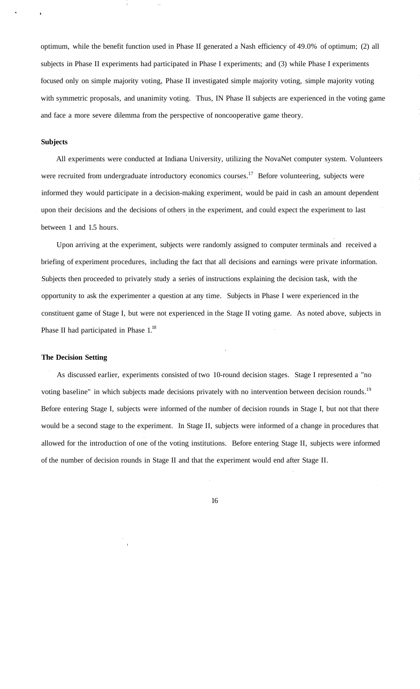optimum, while the benefit function used in Phase II generated a Nash efficiency of 49.0% of optimum; (2) all subjects in Phase II experiments had participated in Phase I experiments; and (3) while Phase I experiments focused only on simple majority voting, Phase II investigated simple majority voting, simple majority voting with symmetric proposals, and unanimity voting. Thus, IN Phase II subjects are experienced in the voting game and face a more severe dilemma from the perspective of noncooperative game theory.

#### **Subjects**

All experiments were conducted at Indiana University, utilizing the NovaNet computer system. Volunteers were recruited from undergraduate introductory economics courses.<sup>17</sup> Before volunteering, subjects were informed they would participate in a decision-making experiment, would be paid in cash an amount dependent upon their decisions and the decisions of others in the experiment, and could expect the experiment to last between 1 and 1.5 hours.

Upon arriving at the experiment, subjects were randomly assigned to computer terminals and received a briefing of experiment procedures, including the fact that all decisions and earnings were private information. Subjects then proceeded to privately study a series of instructions explaining the decision task, with the opportunity to ask the experimenter a question at any time. Subjects in Phase I were experienced in the constituent game of Stage I, but were not experienced in the Stage II voting game. As noted above, subjects in Phase II had participated in Phase 1.<sup>18</sup>

#### **The Decision Setting**

As discussed earlier, experiments consisted of two 10-round decision stages. Stage I represented a "no voting baseline" in which subjects made decisions privately with no intervention between decision rounds.<sup>19</sup> Before entering Stage I, subjects were informed of the number of decision rounds in Stage I, but not that there would be a second stage to the experiment. In Stage II, subjects were informed of a change in procedures that allowed for the introduction of one of the voting institutions. Before entering Stage II, subjects were informed of the number of decision rounds in Stage II and that the experiment would end after Stage II.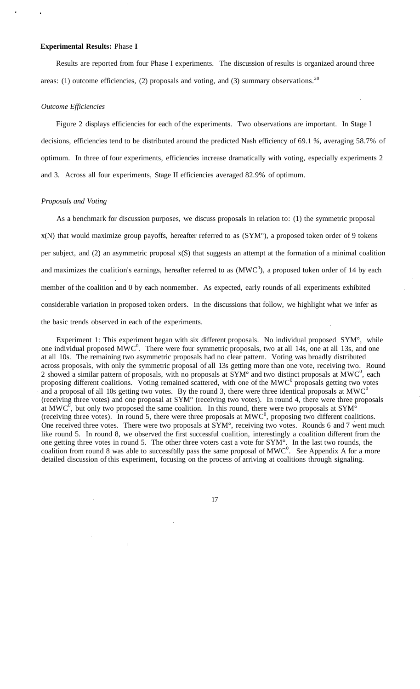#### **Experimental Results:** Phase **I**

Results are reported from four Phase I experiments. The discussion of results is organized around three areas: (1) outcome efficiencies, (2) proposals and voting, and (3) summary observations.<sup>20</sup>

#### *Outcome Efficiencies*

Figure 2 displays efficiencies for each of the experiments. Two observations are important. In Stage I decisions, efficiencies tend to be distributed around the predicted Nash efficiency of 69.1 *%,* averaging 58.7% of optimum. In three of four experiments, efficiencies increase dramatically with voting, especially experiments 2 and 3. Across all four experiments, Stage II efficiencies averaged 82.9% of optimum.

#### *Proposals and Voting*

As a benchmark for discussion purposes, we discuss proposals in relation to: (1) the symmetric proposal x(N) that would maximize group payoffs, hereafter referred to as (SYM°), a proposed token order of 9 tokens per subject, and (2) an asymmetric proposal x(S) that suggests an attempt at the formation of a minimal coalition and maximizes the coalition's earnings, hereafter referred to as  $(MWC<sup>0</sup>)$ , a proposed token order of 14 by each member of the coalition and 0 by each nonmember. As expected, early rounds of all experiments exhibited considerable variation in proposed token orders. In the discussions that follow, we highlight what we infer as the basic trends observed in each of the experiments.

Experiment 1: This experiment began with six different proposals. No individual proposed SYM°, while one individual proposed  $\widehat{MWC}^0$ . There were four symmetric proposals, two at all 14s, one at all 13s, and one at all 10s. The remaining two asymmetric proposals had no clear pattern. Voting was broadly distributed across proposals, with only the symmetric proposal of all 13s getting more than one vote, receiving two. Round 2 showed a similar pattern of proposals, with no proposals at  $\text{SYM}^\circ$  and two distinct proposals at  $\text{MWC}^0$ , each proposing different coalitions. Voting remained scattered, with one of the  $MWC<sup>0</sup>$  proposals getting two votes and a proposal of all 10s getting two votes. By the round 3, there were three identical proposals at  $MWC<sup>0</sup>$ (receiving three votes) and one proposal at SYM° (receiving two votes). In round 4, there were three proposals at MWC<sup>0</sup>, but only two proposed the same coalition. In this round, there were two proposals at SYM<sup> $\circ$ </sup> (receiving three votes). In round 5, there were three proposals at  $MWC<sup>0</sup>$ , proposing two different coalitions. One received three votes. There were two proposals at SYM°, receiving two votes. Rounds 6 and 7 went much like round 5. In round 8, we observed the first successful coalition, interestingly a coalition different from the one getting three votes in round 5. The other three voters cast a vote for SYM°. In the last two rounds, the coalition from round 8 was able to successfully pass the same proposal of  $MWC<sup>0</sup>$ . See Appendix A for a more detailed discussion of this experiment, focusing on the process of arriving at coalitions through signaling.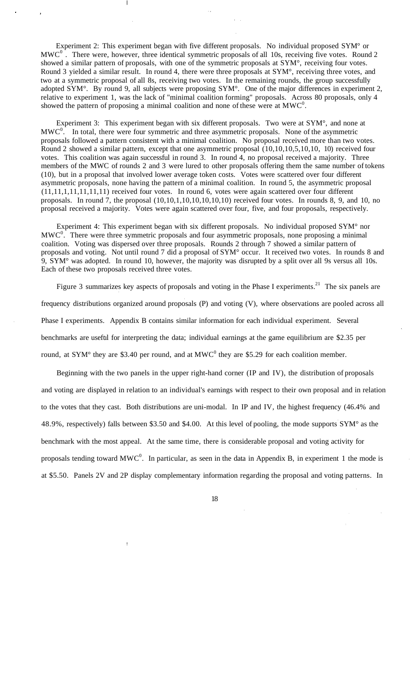Experiment 2: This experiment began with five different proposals. No individual proposed SYM° or  $MWC<sup>0</sup>$  . There were, however, three identical symmetric proposals of all 10s, receiving five votes. Round 2 showed a similar pattern of proposals, with one of the symmetric proposals at SYM°, receiving four votes. Round 3 yielded a similar result. In round 4, there were three proposals at SYM°, receiving three votes, and two at a symmetric proposal of all 8s, receiving two votes. In the remaining rounds, the group successfully adopted SYM°. By round 9, all subjects were proposing SYM°. One of the major differences in experiment 2, relative to experiment 1, was the lack of "minimal coalition forming" proposals. Across 80 proposals, only 4 showed the pattern of proposing a minimal coalition and none of these were at  $MWC<sup>0</sup>$ .

Experiment 3: This experiment began with six different proposals. Two were at SYM°, and none at  $MWC<sup>0</sup>$ . In total, there were four symmetric and three asymmetric proposals. None of the asymmetric proposals followed a pattern consistent with a minimal coalition. No proposal received more than two votes. Round 2 showed a similar pattern, except that one asymmetric proposal (10,10,10,5,10,10, 10) received four votes. This coalition was again successful in round 3. In round 4, no proposal received a majority. Three members of the MWC of rounds 2 and 3 were lured to other proposals offering them the same number of tokens (10), but in a proposal that involved lower average token costs. Votes were scattered over four different asymmetric proposals, none having the pattern of a minimal coalition. In round 5, the asymmetric proposal (11,11,1,11,11,11,11) received four votes. In round 6, votes were again scattered over four different proposals. In round 7, the proposal (10,10,1,10,10,10,10,10) received four votes. In rounds 8, 9, and 10, no proposal received a majority. Votes were again scattered over four, five, and four proposals, respectively.

Experiment 4: This experiment began with six different proposals. No individual proposed SYM° nor  $MWC<sup>0</sup>$ . There were three symmetric proposals and four asymmetric proposals, none proposing a minimal coalition. Voting was dispersed over three proposals. Rounds 2 through 7 showed a similar pattern of proposals and voting. Not until round 7 did a proposal of SYM° occur. It received two votes. In rounds 8 and 9, SYM° was adopted. In round 10, however, the majority was disrupted by a split over all 9s versus all 10s. Each of these two proposals received three votes.

Figure 3 summarizes key aspects of proposals and voting in the Phase I experiments.<sup>21</sup> The six panels are frequency distributions organized around proposals (P) and voting (V), where observations are pooled across all Phase I experiments. Appendix B contains similar information for each individual experiment. Several benchmarks are useful for interpreting the data; individual earnings at the game equilibrium are \$2.35 per round, at SYM° they are \$3.40 per round, and at MWC<sup>0</sup> they are \$5.29 for each coalition member.

Beginning with the two panels in the upper right-hand corner (IP and IV), the distribution of proposals and voting are displayed in relation to an individual's earnings with respect to their own proposal and in relation to the votes that they cast. Both distributions are uni-modal. In IP and IV, the highest frequency (46.4% and 48.9%, respectively) falls between \$3.50 and \$4.00. At this level of pooling, the mode supports SYM° as the benchmark with the most appeal. At the same time, there is considerable proposal and voting activity for proposals tending toward  $MWC<sup>0</sup>$ . In particular, as seen in the data in Appendix B, in experiment 1 the mode is at \$5.50. Panels 2V and 2P display complementary information regarding the proposal and voting patterns. In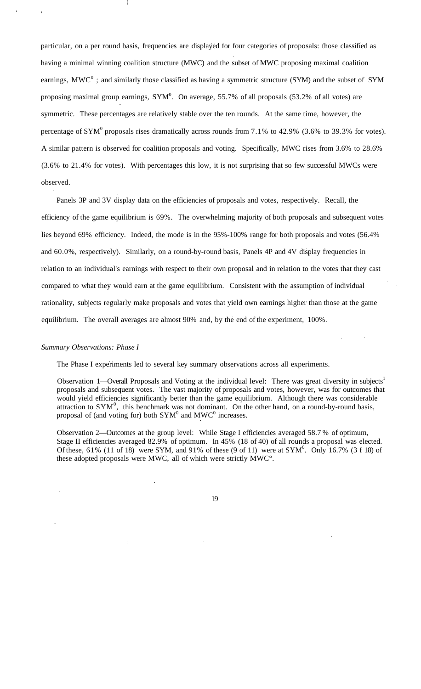particular, on a per round basis, frequencies are displayed for four categories of proposals: those classified as having a minimal winning coalition structure (MWC) and the subset of MWC proposing maximal coalition earnings,  $MWC<sup>0</sup>$ ; and similarly those classified as having a symmetric structure (SYM) and the subset of SYM proposing maximal group earnings,  $SYM^0$ . On average, 55.7% of all proposals (53.2% of all votes) are symmetric. These percentages are relatively stable over the ten rounds. At the same time, however, the percentage of SYM<sup>0</sup> proposals rises dramatically across rounds from 7.1% to 42.9% (3.6% to 39.3% for votes). A similar pattern is observed for coalition proposals and voting. Specifically, MWC rises from 3.6% to 28.6% (3.6% to 21.4% for votes). With percentages this low, it is not surprising that so few successful MWCs were observed.

Panels 3P and 3V display data on the efficiencies of proposals and votes, respectively. Recall, the efficiency of the game equilibrium is 69%. The overwhelming majority of both proposals and subsequent votes lies beyond 69% efficiency. Indeed, the mode is in the 95%-100% range for both proposals and votes (56.4% and 60.0%, respectively). Similarly, on a round-by-round basis, Panels 4P and 4V display frequencies in relation to an individual's earnings with respect to their own proposal and in relation to the votes that they cast compared to what they would earn at the game equilibrium. Consistent with the assumption of individual rationality, subjects regularly make proposals and votes that yield own earnings higher than those at the game equilibrium. The overall averages are almost 90% and, by the end of the experiment, 100%.

#### *Summary Observations: Phase I*

The Phase I experiments led to several key summary observations across all experiments.

Observation 1—Overall Proposals and Voting at the individual level: There was great diversity in subjects<sup>1</sup> proposals and subsequent votes. The vast majority of proposals and votes, however, was for outcomes that would yield efficiencies significantly better than the game equilibrium. Although there was considerable attraction to  $SYM^0$ , this benchmark was not dominant. On the other hand, on a round-by-round basis, proposal of (and voting for) both  $SYM^0$  and  $MWC^0$  increases.

Observation 2—Outcomes at the group level: While Stage I efficiencies averaged 58.7 % of optimum, Stage II efficiencies averaged 82.9% of optimum. In 45% (18 of 40) of all rounds a proposal was elected. Of these, 61% (11 of 18) were SYM, and 91% of these (9 of 11) were at  $\text{SYM}^0$ . Only 16.7% (3 f 18) of these adopted proposals were MWC, all of which were strictly MWC°.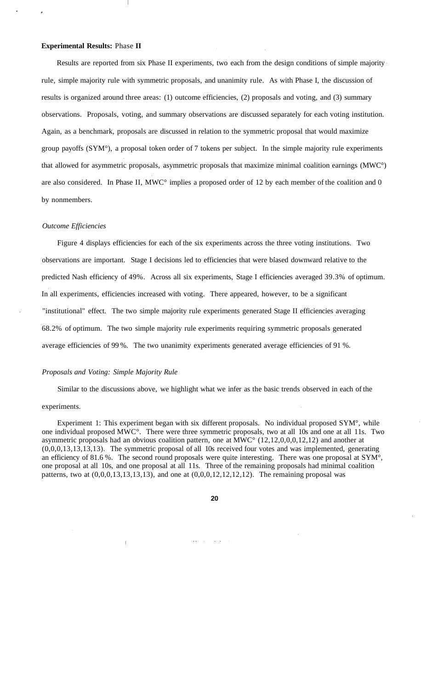#### **Experimental Results:** Phase **II**

Results are reported from six Phase II experiments, two each from the design conditions of simple majority rule, simple majority rule with symmetric proposals, and unanimity rule. As with Phase I, the discussion of results is organized around three areas: (1) outcome efficiencies, (2) proposals and voting, and (3) summary observations. Proposals, voting, and summary observations are discussed separately for each voting institution. Again, as a benchmark, proposals are discussed in relation to the symmetric proposal that would maximize group payoffs (SYM°), a proposal token order of 7 tokens per subject. In the simple majority rule experiments that allowed for asymmetric proposals, asymmetric proposals that maximize minimal coalition earnings (MWC°) are also considered. In Phase II, MWC° implies a proposed order of 12 by each member of the coalition and 0 by nonmembers.

#### *Outcome Efficiencies*

Figure 4 displays efficiencies for each of the six experiments across the three voting institutions. Two observations are important. Stage I decisions led to efficiencies that were biased downward relative to the predicted Nash efficiency of 49%. Across all six experiments, Stage I efficiencies averaged 39.3% of optimum. In all experiments, efficiencies increased with voting. There appeared, however, to be a significant "institutional" effect. The two simple majority rule experiments generated Stage II efficiencies averaging 68.2% of optimum. The two simple majority rule experiments requiring symmetric proposals generated average efficiencies of 99 %. The two unanimity experiments generated average efficiencies of 91 %.

#### *Proposals and Voting: Simple Majority Rule*

 $\overline{1}$ 

Similar to the discussions above, we highlight what we infer as the basic trends observed in each of the

#### experiments.

Experiment 1: This experiment began with six different proposals. No individual proposed SYM°, while one individual proposed MWC°. There were three symmetric proposals, two at all 10s and one at all 11s. Two asymmetric proposals had an obvious coalition pattern, one at  $\overline{\text{MWC}}^{\circ}$  (12,12,0,0,0,12,12) and another at (0,0,0,13,13,13,13). The symmetric proposal of all 10s received four votes and was implemented, generating an efficiency of 81.6 %. The second round proposals were quite interesting. There was one proposal at SYM°, one proposal at all 10s, and one proposal at all 11s. Three of the remaining proposals had minimal coalition patterns, two at  $(0,0,0,13,13,13,13)$ , and one at  $(0,0,0,12,12,12,12)$ . The remaining proposal was

and a strategic and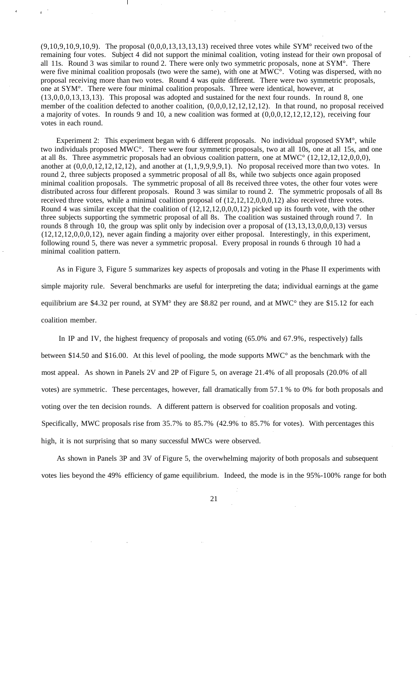$(9,10,9,10,9,10,9)$ . The proposal  $(0,0,0,13,13,13,13)$  received three votes while SYM° received two of the remaining four votes. Subject 4 did not support the minimal coalition, voting instead for their own proposal of all 11s. Round 3 was similar to round 2. There were only two symmetric proposals, none at SYM°. There were five minimal coalition proposals (two were the same), with one at MWC°. Voting was dispersed, with no proposal receiving more than two votes. Round 4 was quite different. There were two symmetric proposals, one at SYM°. There were four minimal coalition proposals. Three were identical, however, at (13,0,0,0,13,13,13). This proposal was adopted and sustained for the next four rounds. In round 8, one member of the coalition defected to another coalition, (0,0,0,12,12,12,12). In that round, no proposal received a majority of votes. In rounds 9 and 10, a new coalition was formed at  $(0,0,0,12,12,12,12)$ , receiving four votes in each round.

Experiment 2: This experiment began with 6 different proposals. No individual proposed SYM°, while two individuals proposed MWC°. There were four symmetric proposals, two at all 10s, one at all 15s, and one at all 8s. Three asymmetric proposals had an obvious coalition pattern, one at MWC° (12,12,12,12,0,0,0), another at  $(0,0,0,12,12,12,12)$ , and another at  $(1,1,9,9,9,9,1)$ . No proposal received more than two votes. In round 2, three subjects proposed a symmetric proposal of all 8s, while two subjects once again proposed minimal coalition proposals. The symmetric proposal of all 8s received three votes, the other four votes were distributed across four different proposals. Round 3 was similar to round 2. The symmetric proposals of all 8s received three votes, while a minimal coalition proposal of  $(12, 12, 12, 0, 0, 0, 12)$  also received three votes. Round 4 was similar except that the coalition of (12,12,12,0,0,0,12) picked up its fourth vote, with the other three subjects supporting the symmetric proposal of all 8s. The coalition was sustained through round 7. In rounds 8 through 10, the group was split only by indecision over a proposal of  $(13,13,13,0,0,0,13)$  versus (12,12,12,0,0,0,12), never again finding a majority over either proposal. Interestingly, in this experiment, following round 5, there was never a symmetric proposal. Every proposal in rounds 6 through 10 had a minimal coalition pattern.

As in Figure 3, Figure 5 summarizes key aspects of proposals and voting in the Phase II experiments with simple majority rule. Several benchmarks are useful for interpreting the data; individual earnings at the game equilibrium are \$4.32 per round, at SYM° they are \$8.82 per round, and at MWC° they are \$15.12 for each coalition member.

In IP and IV, the highest frequency of proposals and voting (65.0% and 67.9%, respectively) falls between \$14.50 and \$16.00. At this level of pooling, the mode supports MWC° as the benchmark with the most appeal. As shown in Panels 2V and 2P of Figure 5, on average 21.4% of all proposals (20.0% of all votes) are symmetric. These percentages, however, fall dramatically from 57.1 % to 0% for both proposals and voting over the ten decision rounds. A different pattern is observed for coalition proposals and voting. Specifically, MWC proposals rise from 35.7% to 85.7% (42.9% to 85.7% for votes). With percentages this high, it is not surprising that so many successful MWCs were observed.

As shown in Panels 3P and 3V of Figure 5, the overwhelming majority of both proposals and subsequent votes lies beyond the 49% efficiency of game equilibrium. Indeed, the mode is in the 95%-100% range for both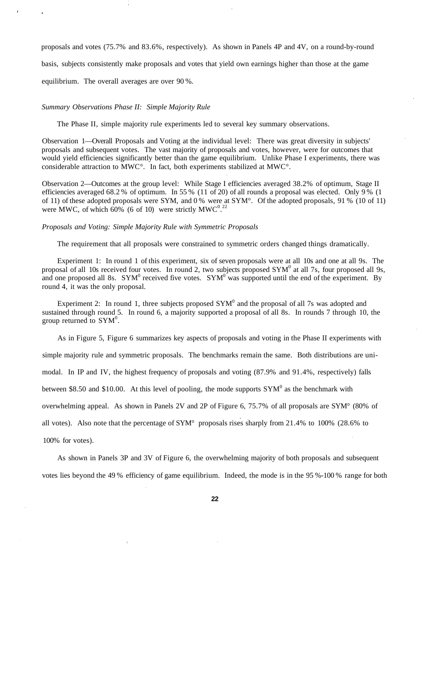proposals and votes (75.7% and 83.6%, respectively). As shown in Panels 4P and 4V, on a round-by-round

basis, subjects consistently make proposals and votes that yield own earnings higher than those at the game

equilibrium. The overall averages are over 90 %.

#### *Summary Observations Phase II: Simple Majority Rule*

The Phase II, simple majority rule experiments led to several key summary observations.

Observation 1—Overall Proposals and Voting at the individual level: There was great diversity in subjects' proposals and subsequent votes. The vast majority of proposals and votes, however, were for outcomes that would yield efficiencies significantly better than the game equilibrium. Unlike Phase I experiments, there was considerable attraction to MWC°. In fact, both experiments stabilized at MWC°.

Observation 2—Outcomes at the group level: While Stage I efficiencies averaged 38.2% of optimum, Stage II efficiencies averaged 68.2 % of optimum. In 55 % (11 of 20) of all rounds a proposal was elected. Only 9 % (1 of 11) of these adopted proposals were SYM, and 0 % were at SYM°. Of the adopted proposals, 91 % (10 of 11) were MWC, of which  $60\%$  (6 of 10) were strictly MWC<sup>0.22</sup>

#### *Proposals and Voting: Simple Majority Rule with Symmetric Proposals*

The requirement that all proposals were constrained to symmetric orders changed things dramatically.

Experiment 1: In round 1 of this experiment, six of seven proposals were at all 10s and one at all 9s. The proposal of all 10s received four votes. In round 2, two subjects proposed  $SYM^0$  at all 7s, four proposed all 9s, and one proposed all 8s.  $SYM^0$  received five votes.  $SYM^0$  was supported until the end of the experiment. By round 4, it was the only proposal.

Experiment 2: In round 1, three subjects proposed  $SYM^0$  and the proposal of all 7s was adopted and sustained through round 5. In round 6, a majority supported a proposal of all 8s. In rounds 7 through 10, the group returned to  $SYM^0$ .

As in Figure 5, Figure 6 summarizes key aspects of proposals and voting in the Phase II experiments with

simple majority rule and symmetric proposals. The benchmarks remain the same. Both distributions are uni-

modal. In IP and IV, the highest frequency of proposals and voting (87.9% and 91.4%, respectively) falls

between \$8.50 and \$10.00. At this level of pooling, the mode supports  $SYM^0$  as the benchmark with

overwhelming appeal. As shown in Panels 2V and 2P of Figure 6, 75.7% of all proposals are SYM° (80% of

all votes). Also note that the percentage of SYM° proposals rises sharply from 21.4% to 100% (28.6% to

100% for votes).

As shown in Panels 3P and 3V of Figure 6, the overwhelming majority of both proposals and subsequent votes lies beyond the 49 % efficiency of game equilibrium. Indeed, the mode is in the 95 %-100 % range for both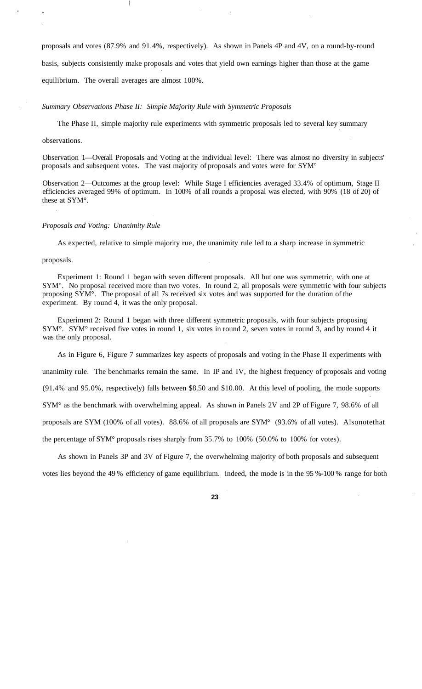proposals and votes (87.9% and 91.4%, respectively). As shown in Panels 4P and 4V, on a round-by-round basis, subjects consistently make proposals and votes that yield own earnings higher than those at the game equilibrium. The overall averages are almost 100%.

*Summary Observations Phase II: Simple Majority Rule with Symmetric Proposals*

The Phase II, simple majority rule experiments with symmetric proposals led to several key summary

#### observations.

Observation 1—Overall Proposals and Voting at the individual level: There was almost no diversity in subjects' proposals and subsequent votes. The vast majority of proposals and votes were for SYM°

Observation 2—Outcomes at the group level: While Stage I efficiencies averaged 33.4% of optimum, Stage II efficiencies averaged 99% of optimum. In 100% of all rounds a proposal was elected, with 90% (18 of 20) of these at SYM°.

#### *Proposals and Voting: Unanimity Rule*

As expected, relative to simple majority rue, the unanimity rule led to a sharp increase in symmetric

#### proposals.

Experiment 1: Round 1 began with seven different proposals. All but one was symmetric, with one at SYM°. No proposal received more than two votes. In round 2, all proposals were symmetric with four subjects proposing SYM°. The proposal of all 7s received six votes and was supported for the duration of the experiment. By round 4, it was the only proposal.

Experiment 2: Round 1 began with three different symmetric proposals, with four subjects proposing SYM°. SYM° received five votes in round 1, six votes in round 2, seven votes in round 3, and by round 4 it was the only proposal.

As in Figure 6, Figure 7 summarizes key aspects of proposals and voting in the Phase II experiments with

unanimity rule. The benchmarks remain the same. In IP and IV, the highest frequency of proposals and voting

(91.4% and 95.0%, respectively) falls between \$8.50 and \$10.00. At this level of pooling, the mode supports

SYM° as the benchmark with overwhelming appeal. As shown in Panels 2V and 2P of Figure 7, 98.6% of all

proposals are SYM (100% of all votes). 88.6% of all proposals are SYM° (93.6% of all votes). Alsonotethat

the percentage of SYM° proposals rises sharply from 35.7% to 100% (50.0% to 100% for votes).

As shown in Panels 3P and 3V of Figure 7, the overwhelming majority of both proposals and subsequent votes lies beyond the 49 % efficiency of game equilibrium. Indeed, the mode is in the 95 %-100 % range for both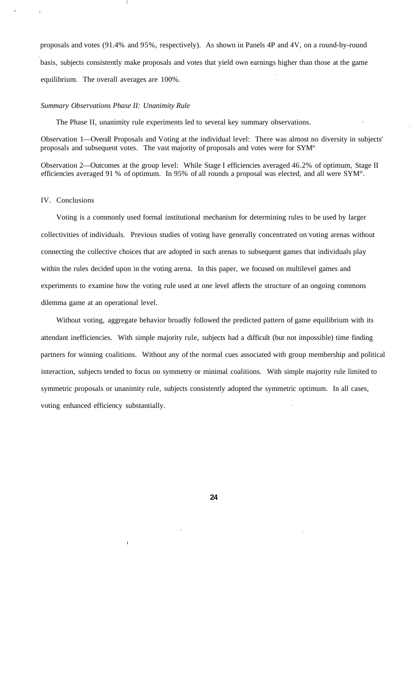proposals and votes (91.4% and 95%, respectively). As shown in Panels 4P and 4V, on a round-by-round basis, subjects consistently make proposals and votes that yield own earnings higher than those at the game equilibrium. The overall averages are 100%.

#### *Summary Observations Phase II: Unanimity Rule*

The Phase II, unanimity rule experiments led to several key summary observations.

Observation 1—Overall Proposals and Voting at the individual level: There was almost no diversity in subjects' proposals and subsequent votes. The vast majority of proposals and votes were for SYM°

Observation 2—Outcomes at the group level: While Stage I efficiencies averaged 46.2% of optimum, Stage II efficiencies averaged 91 % of optimum. In 95% of all rounds a proposal was elected, and all were SYM°.

#### IV. Conclusions

Voting is a commonly used formal institutional mechanism for determining rules to be used by larger collectivities of individuals. Previous studies of voting have generally concentrated on voting arenas without connecting the collective choices that are adopted in such arenas to subsequent games that individuals play within the rules decided upon in the voting arena. In this paper, we focused on multilevel games and experiments to examine how the voting rule used at one level affects the structure of an ongoing commons dilemma game at an operational level.

Without voting, aggregate behavior broadly followed the predicted pattern of game equilibrium with its attendant inefficiencies. With simple majority rule, subjects had a difficult (but not impossible) time finding partners for winning coalitions. Without any of the normal cues associated with group membership and political interaction, subjects tended to focus on symmetry or minimal coalitions. With simple majority rule limited to symmetric proposals or unanimity rule, subjects consistently adopted the symmetric optimum. In all cases, voting enhanced efficiency substantially.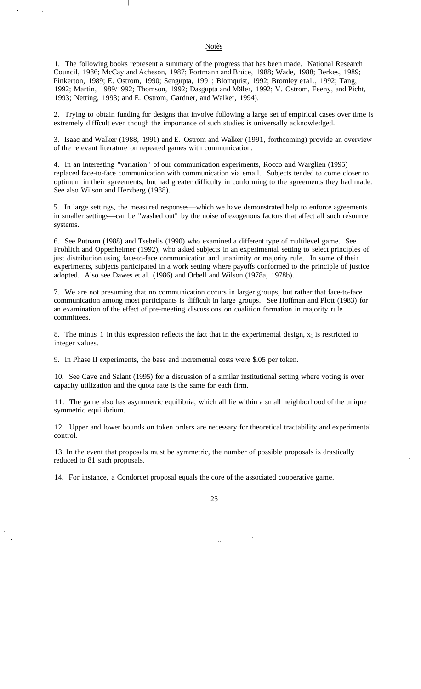1. The following books represent a summary of the progress that has been made. National Research Council, 1986; McCay and Acheson, 1987; Fortmann and Bruce, 1988; Wade, 1988; Berkes, 1989; Pinkerton, 1989; E. Ostrom, 1990; Sengupta, 1991; Blomquist, 1992; Bromley etal., 1992; Tang, 1992; Martin, 1989/1992; Thomson, 1992; Dasgupta and Maler, 1992; V. Ostrom, Feeny, and Picht, 1993; Netting, 1993; and E. Ostrom, Gardner, and Walker, 1994).

2. Trying to obtain funding for designs that involve following a large set of empirical cases over time is extremely difficult even though the importance of such studies is universally acknowledged.

3. Isaac and Walker (1988, 1991) and E. Ostrom and Walker (1991, forthcoming) provide an overview of the relevant literature on repeated games with communication.

4. In an interesting "variation" of our communication experiments, Rocco and Warglien (1995) replaced face-to-face communication with communication via email. Subjects tended to come closer to optimum in their agreements, but had greater difficulty in conforming to the agreements they had made. See also Wilson and Herzberg (1988).

5. In large settings, the measured responses—which we have demonstrated help to enforce agreements in smaller settings—can be "washed out" by the noise of exogenous factors that affect all such resource systems.

6. See Putnam (1988) and Tsebelis (1990) who examined a different type of multilevel game. See Frohlich and Oppenheimer (1992), who asked subjects in an experimental setting to select principles of just distribution using face-to-face communication and unanimity or majority rule. In some of their experiments, subjects participated in a work setting where payoffs conformed to the principle of justice adopted. Also see Dawes et al. (1986) and Orbell and Wilson (1978a, 1978b).

7. We are not presuming that no communication occurs in larger groups, but rather that face-to-face communication among most participants is difficult in large groups. See Hoffman and Plott (1983) for an examination of the effect of pre-meeting discussions on coalition formation in majority rule committees.

8. The minus 1 in this expression reflects the fact that in the experimental design,  $x_1$  is restricted to integer values.

9. In Phase II experiments, the base and incremental costs were \$.05 per token.

10. See Cave and Salant (1995) for a discussion of a similar institutional setting where voting is over capacity utilization and the quota rate is the same for each firm.

11. The game also has asymmetric equilibria, which all lie within a small neighborhood of the unique symmetric equilibrium.

12. Upper and lower bounds on token orders are necessary for theoretical tractability and experimental control.

13. In the event that proposals must be symmetric, the number of possible proposals is drastically reduced to 81 such proposals.

14. For instance, a Condorcet proposal equals the core of the associated cooperative game.

**Notes**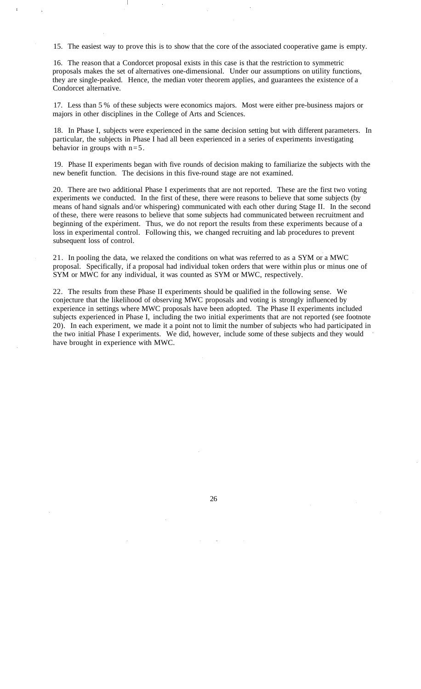15. The easiest way to prove this is to show that the core of the associated cooperative game is empty.

16. The reason that a Condorcet proposal exists in this case is that the restriction to symmetric proposals makes the set of alternatives one-dimensional. Under our assumptions on utility functions, they are single-peaked. Hence, the median voter theorem applies, and guarantees the existence of a Condorcet alternative.

17. Less than 5 % of these subjects were economics majors. Most were either pre-business majors or majors in other disciplines in the College of Arts and Sciences.

18. In Phase I, subjects were experienced in the same decision setting but with different parameters. In particular, the subjects in Phase I had all been experienced in a series of experiments investigating behavior in groups with  $n=5$ .

19. Phase II experiments began with five rounds of decision making to familiarize the subjects with the new benefit function. The decisions in this five-round stage are not examined.

20. There are two additional Phase I experiments that are not reported. These are the first two voting experiments we conducted. In the first of these, there were reasons to believe that some subjects (by means of hand signals and/or whispering) communicated with each other during Stage II. In the second of these, there were reasons to believe that some subjects had communicated between recruitment and beginning of the experiment. Thus, we do not report the results from these experiments because of a loss in experimental control. Following this, we changed recruiting and lab procedures to prevent subsequent loss of control.

21. In pooling the data, we relaxed the conditions on what was referred to as a SYM or a MWC proposal. Specifically, if a proposal had individual token orders that were within plus or minus one of SYM or MWC for any individual, it was counted as SYM or MWC, respectively.

22. The results from these Phase II experiments should be qualified in the following sense. We conjecture that the likelihood of observing MWC proposals and voting is strongly influenced by experience in settings where MWC proposals have been adopted. The Phase II experiments included subjects experienced in Phase I, including the two initial experiments that are not reported (see footnote 20). In each experiment, we made it a point not to limit the number of subjects who had participated in the two initial Phase I experiments. We did, however, include some of these subjects and they would have brought in experience with MWC.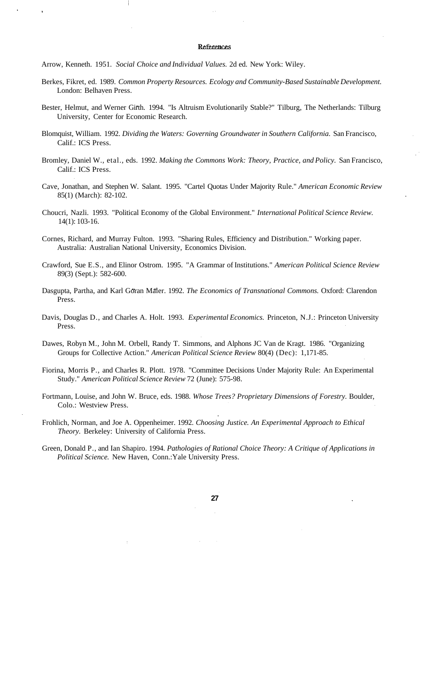#### References

Arrow, Kenneth. 1951. *Social Choice and Individual Values.* 2d ed. New York: Wiley.

- Berkes, Fikret, ed. 1989. *Common Property Resources. Ecology and Community-Based Sustainable Development.* London: Belhaven Press.
- Bester, Helmut, and Werner Girth. 1994. "Is Altruism Evolutionarily Stable?" Tilburg, The Netherlands: Tilburg University, Center for Economic Research.
- Blomquist, William. 1992. *Dividing the Waters: Governing Groundwater in Southern California.* San Francisco, Calif.: ICS Press.
- Bromley, Daniel W., etal., eds. 1992. *Making the Commons Work: Theory, Practice, and Policy.* San Francisco, Calif.: ICS Press.
- Cave, Jonathan, and Stephen W. Salant. 1995. "Cartel Quotas Under Majority Rule." *American Economic Review* 85(1) (March): 82-102.
- Choucri, Nazli. 1993. "Political Economy of the Global Environment." *International Political Science Review.* 14(1): 103-16.
- Cornes, Richard, and Murray Fulton. 1993. "Sharing Rules, Efficiency and Distribution." Working paper. Australia: Australian National University, Economics Division.
- Crawford, Sue E.S., and Elinor Ostrom. 1995. "A Grammar of Institutions." *American Political Science Review* 89(3) (Sept.): 582-600.
- Dasgupta, Partha, and Karl Göran Mäler. 1992. The Economics of Transnational Commons. Oxford: Clarendon Press.
- Davis, Douglas D., and Charles A. Holt. 1993. *Experimental Economics.* Princeton, N.J.: Princeton University Press.
- Dawes, Robyn M., John M. Orbell, Randy T. Simmons, and Alphons JC Van de Kragt. 1986. "Organizing Groups for Collective Action." *American Political Science Review* 80(4) (Dec): 1,171-85.
- Fiorina, Morris P., and Charles R. Plott. 1978. "Committee Decisions Under Majority Rule: An Experimental Study." *American Political Science Review* 72 (June): 575-98.
- Fortmann, Louise, and John W. Bruce, eds. 1988. *Whose Trees? Proprietary Dimensions of Forestry.* Boulder, Colo.: Westview Press.
- Frohlich, Norman, and Joe A. Oppenheimer. 1992. *Choosing Justice. An Experimental Approach to Ethical Theory.* Berkeley: University of California Press.
- Green, Donald P., and Ian Shapiro. 1994. *Pathologies of Rational Choice Theory: A Critique of Applications in Political Science.* New Haven, Conn.:Yale University Press.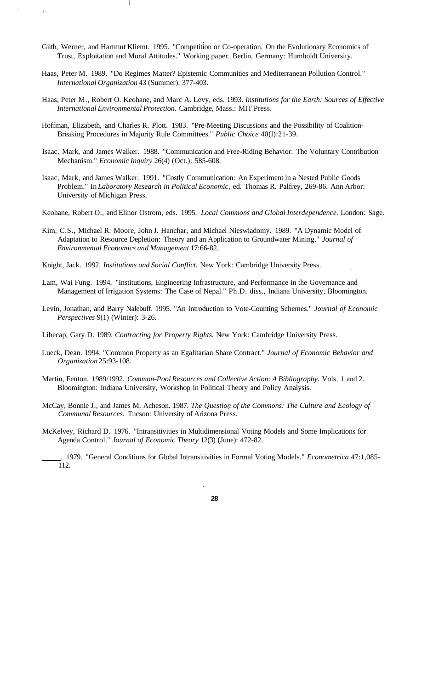- Giith, Werner, and Hartmut Kliemt. 1995. "Competition or Co-operation. On the Evolutionary Economics of Trust, Exploitation and Moral Attitudes." Working paper. Berlin, Germany: Humboldt University.
- Haas, Peter M. 1989. "Do Regimes Matter? Epistemic Communities and Mediterranean Pollution Control." *International Organization* 43 (Summer): 377-403.
- Haas, Peter M., Robert O. Keohane, and Marc A. Levy, eds. 1993. *Institutions for the Earth: Sources of Effective International Environmental Protection.* Cambridge, Mass.: MIT Press.
- Hoffman, Elizabeth, and Charles R. Plott. 1983. "Pre-Meeting Discussions and the Possibility of Coalition-Breaking Procedures in Majority Rule Committees." *Public Choice* 40(l):21-39.
- Isaac, Mark, and James Walker. 1988. "Communication and Free-Riding Behavior: The Voluntary Contribution Mechanism." *Economic Inquiry* 26(4) (Oct.): 585-608.
- Isaac, Mark, and James Walker. 1991. "Costly Communication: An Experiment in a Nested Public Goods Problem." In *Laboratory Research in Political Economic,* ed. Thomas R. Palfrey, 269-86. Ann Arbor: University of Michigan Press.
- Keohane, Robert O., and Elinor Ostrom, eds. 1995. *Local Commons and Global Interdependence.* London: Sage.
- Kim, C.S., Michael R. Moore, John J. Hanchar, and Michael Nieswiadomy. 1989. "A Dynamic Model of Adaptation to Resource Depletion: Theory and an Application to Groundwater Mining." *Journal of Environmental Economics and Management* 17:66-82.
- Knight, Jack. 1992. *Institutions and Social Conflict.* New York: Cambridge University Press.
- Lam, Wai Fung. 1994. "Institutions, Engineering Infrastructure, and Performance in the Governance and Management of Irrigation Systems: The Case of Nepal." Ph.D. diss., Indiana University, Bloomington.
- Levin, Jonathan, and Barry Nalebuff. 1995. "An Introduction to Vote-Counting Schemes." *Journal of Economic Perspectives* 9(1) (Winter): 3-26.
- Libecap, Gary D. 1989. *Contracting for Property Rights.* New York: Cambridge University Press.
- Lueck, Dean. 1994. "Common Property as an Egalitarian Share Contract." *Journal of Economic Behavior and Organization* 25:93-108.
- Martin, Fenton. 1989/1992. *Common-Pool Resources and Collective Action: A Bibliography.* Vols. 1 and 2. Bloomington: Indiana University, Workshop in Political Theory and Policy Analysis.
- McCay, Bonnie J., and James M. Acheson. 1987. *The Question of the Commons: The Culture and Ecology of Communal Resources.* Tucson: University of Arizona Press.
- McKelvey, Richard D. 1976. "Intransitivities in Multidimensional Voting Models and Some Implications for Agenda Control." *Journal of Economic Theory* 12(3) (June): 472-82.

. 1979. "General Conditions for Global Intransitivities in Formal Voting Models." *Econometrica* 47:1,085- 112.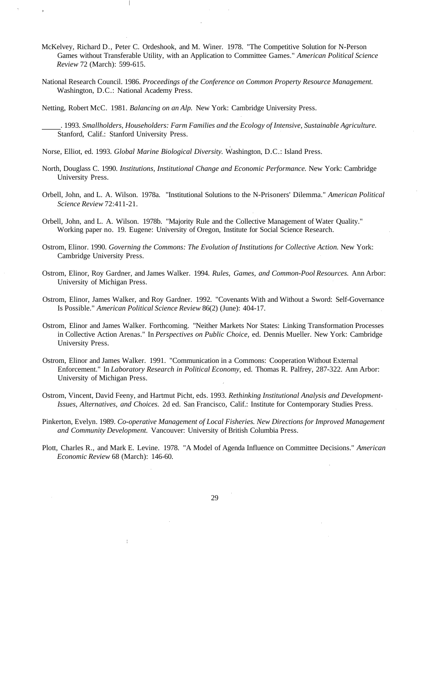- McKelvey, Richard D., Peter C. Ordeshook, and M. Winer. 1978. "The Competitive Solution for N-Person Games without Transferable Utility, with an Application to Committee Games." *American Political Science Review* 72 (March): 599-615.
- National Research Council. 1986. *Proceedings of the Conference on Common Property Resource Management.* Washington, D.C.: National Academy Press.

Netting, Robert McC. 1981. *Balancing on an Alp.* New York: Cambridge University Press.

- . 1993. *Smallholders, Householders: Farm Families and the Ecology of Intensive, Sustainable Agriculture.* Stanford, Calif.: Stanford University Press.
- Norse, Elliot, ed. 1993. *Global Marine Biological Diversity.* Washington, D.C.: Island Press.
- North, Douglass C. 1990. *Institutions, Institutional Change and Economic Performance.* New York: Cambridge University Press.
- Orbell, John, and L. A. Wilson. 1978a. "Institutional Solutions to the N-Prisoners' Dilemma." *American Political Science Review* 72:411-21.
- Orbell, John, and L. A. Wilson. 1978b. "Majority Rule and the Collective Management of Water Quality." Working paper no. 19. Eugene: University of Oregon, Institute for Social Science Research.
- Ostrom, Elinor. 1990. *Governing the Commons: The Evolution of Institutions for Collective Action.* New York: Cambridge University Press.
- Ostrom, Elinor, Roy Gardner, and James Walker. 1994. *Rules, Games, and Common-Pool Resources.* Ann Arbor: University of Michigan Press.
- Ostrom, Elinor, James Walker, and Roy Gardner. 1992. "Covenants With and Without a Sword: Self-Governance Is Possible." *American Political Science Review* 86(2) (June): 404-17.
- Ostrom, Elinor and James Walker. Forthcoming. "Neither Markets Nor States: Linking Transformation Processes in Collective Action Arenas." In *Perspectives on Public Choice,* ed. Dennis Mueller. New York: Cambridge University Press.
- Ostrom, Elinor and James Walker. 1991. "Communication in a Commons: Cooperation Without External Enforcement." In *Laboratory Research in Political Economy,* ed. Thomas R. Palfrey, 287-322. Ann Arbor: University of Michigan Press.
- Ostrom, Vincent, David Feeny, and Hartmut Picht, eds. 1993. *Rethinking Institutional Analysis and Development-Issues, Alternatives, and Choices.* 2d ed. San Francisco, Calif.: Institute for Contemporary Studies Press.
- Pinkerton, Evelyn. 1989. *Co-operative Management of Local Fisheries. New Directions for Improved Management and Community Development.* Vancouver: University of British Columbia Press.
- Plott, Charles R., and Mark E. Levine. 1978. "A Model of Agenda Influence on Committee Decisions." *American Economic Review* 68 (March): 146-60.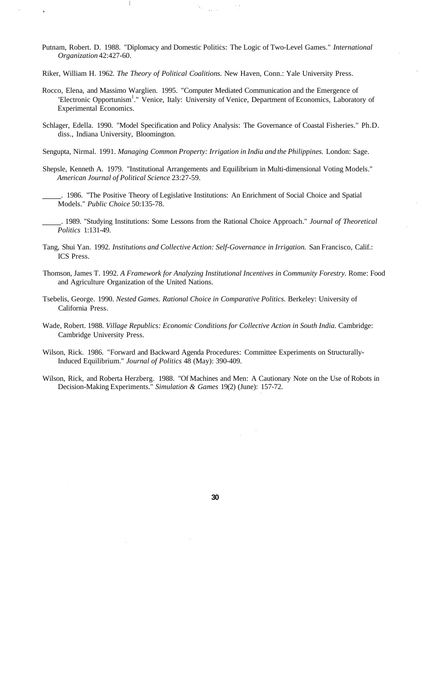- Putnam, Robert. D. 1988. "Diplomacy and Domestic Politics: The Logic of Two-Level Games." *International Organization* 42:427-60.
- Riker, William H. 1962. *The Theory of Political Coalitions.* New Haven, Conn.: Yale University Press.

 $\overline{\phantom{a}}$ 

- Rocco, Elena, and Massimo Warglien. 1995. "Computer Mediated Communication and the Emergence of 'Electronic Opportunism<sup>1</sup>." Venice, Italy: University of Venice, Department of Economics, Laboratory of Experimental Economics.
- Schlager, Edella. 1990. "Model Specification and Policy Analysis: The Governance of Coastal Fisheries." Ph.D. diss., Indiana University, Bloomington.
- Sengupta, Nirmal. 1991. *Managing Common Property: Irrigation in India and the Philippines.* London: Sage.
- Shepsle, Kenneth A. 1979. "Institutional Arrangements and Equilibrium in Multi-dimensional Voting Models." *American Journal of Political Science* 23:27-59.
	- . 1986. "The Positive Theory of Legislative Institutions: An Enrichment of Social Choice and Spatial Models." *Public Choice* 50:135-78.
- . 1989. "Studying Institutions: Some Lessons from the Rational Choice Approach." *Journal of Theoretical Politics* 1:131-49.
- Tang, Shui Yan. 1992. *Institutions and Collective Action: Self-Governance in Irrigation.* San Francisco, Calif.: ICS Press.
- Thomson, James T. 1992. *A Framework for Analyzing Institutional Incentives in Community Forestry.* Rome: Food and Agriculture Organization of the United Nations.
- Tsebelis, George. 1990. *Nested Games. Rational Choice in Comparative Politics.* Berkeley: University of California Press.
- Wade, Robert. 1988. *Village Republics: Economic Conditions for Collective Action in South India.* Cambridge: Cambridge University Press.
- Wilson, Rick. 1986. "Forward and Backward Agenda Procedures: Committee Experiments on Structurally-Induced Equilibrium." *Journal of Politics* 48 (May): 390-409.
- Wilson, Rick, and Roberta Herzberg. 1988. "Of Machines and Men: A Cautionary Note on the Use of Robots in Decision-Making Experiments." *Simulation & Games* 19(2) (June): 157-72.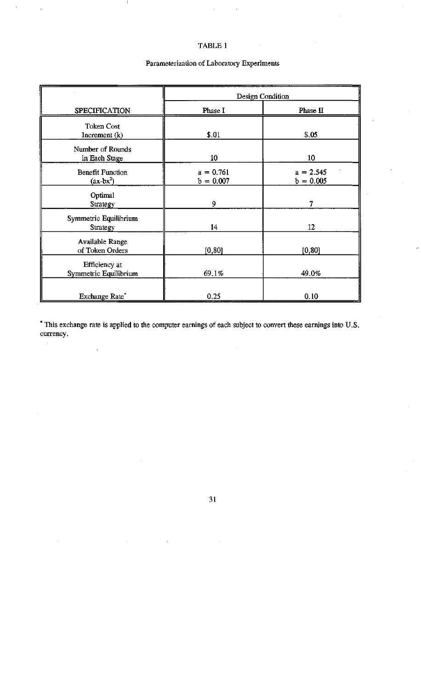### TABLE 1

 $\mathbf{I}$ 

 $\bar{t}$ 

### Parameterization of Laboratory Experiments

|                                        | Design Condition           |                            |  |  |  |  |  |  |  |
|----------------------------------------|----------------------------|----------------------------|--|--|--|--|--|--|--|
| SPECIFICATION                          | Phase I                    | Phase II                   |  |  |  |  |  |  |  |
| <b>Token Cost</b><br>Increment $(k)$   | \$.01                      | \$.05                      |  |  |  |  |  |  |  |
| Number of Rounds<br>in Each Stage      | 10                         | 10                         |  |  |  |  |  |  |  |
| <b>Benefit Function</b><br>$(ax-bx^2)$ | $a = 0.761$<br>$b = 0.007$ | $a = 2.545$<br>$b = 0.005$ |  |  |  |  |  |  |  |
| Optimal<br>Strategy                    | 9                          | 7                          |  |  |  |  |  |  |  |
| Symmetric Equilibrium<br>Strategy      | 14                         | 12                         |  |  |  |  |  |  |  |
| Available Range<br>of Token Orders     | [0, 80]                    | [0, 80]                    |  |  |  |  |  |  |  |
| Efficiency at<br>Symmetric Equilibrium | 69.1%                      | 49.0%                      |  |  |  |  |  |  |  |
| Exchange Rate*                         | 0.25                       | 0.10                       |  |  |  |  |  |  |  |

\* This exchange rate is applied to the computer earnings of each subject to convert these earnings into U.S. currency.  $\epsilon$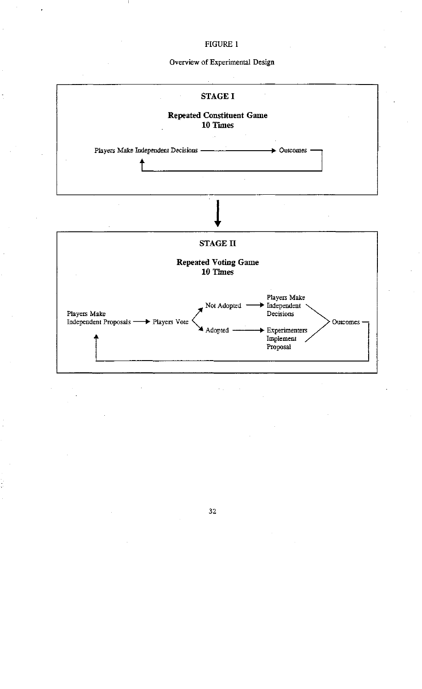### Overview of Experimental Design

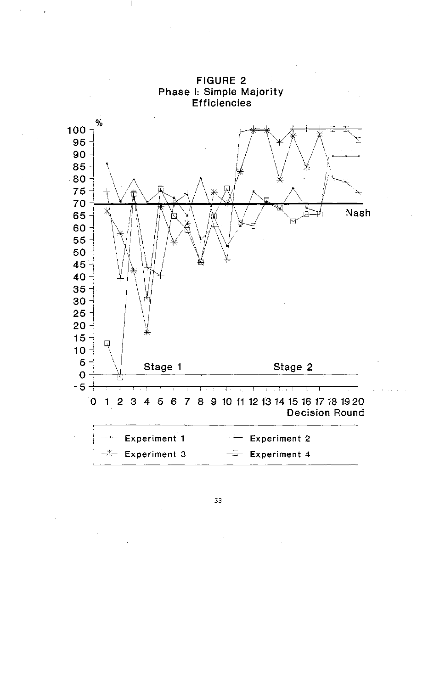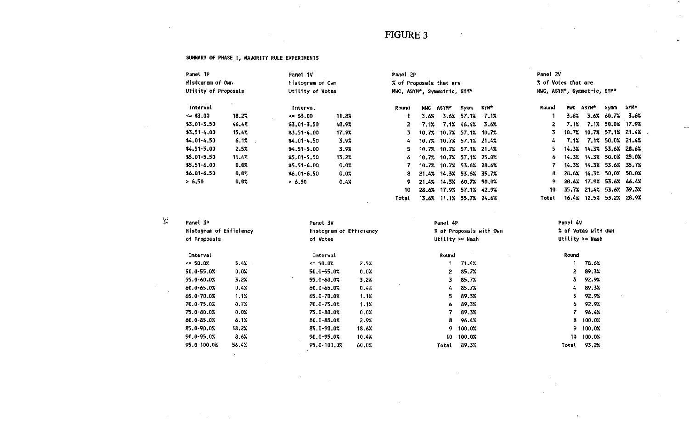$\sim 10^7$ 

Total 13.6% 11.1% 55.7% 24.6%

 $\sim 10^7$ 

 $\sim$ 

Total 16.4% 12.5% 53.2% 28.9%

#### SUMMARY OF PHASE I, MAJORITY RULE EXPERIMENTS

 $\mathcal{L}_{\text{max}}$  and  $\mathcal{L}_{\text{max}}$ 

**Contract** 

 $\sim$ 

 $\sim 10^7$ 

 $\sim$ 

| Panel 1P<br>Panel 1V |         |                  |                  |       | Panel 2P                |                             |      |                    |       | Panel 2V            |                             |                  |      |  |  |
|----------------------|---------|------------------|------------------|-------|-------------------------|-----------------------------|------|--------------------|-------|---------------------|-----------------------------|------------------|------|--|--|
| Histogram of Own     |         | Histogram of Own |                  |       | % of Proposals that are |                             |      |                    |       | % of Votes that are |                             |                  |      |  |  |
| Utility of Proposals |         |                  | Utility of Votes |       |                         | MWC, ASYM*, Symmetric, SYM* |      |                    |       |                     | MWC, ASYM*, Symmetric, SYM* |                  |      |  |  |
| Interval             |         | Interval         |                  | Round | <b>MAC</b>              | <b>ASYM*</b>                | Symm | SYM*               | Round | <b>MWC</b>          | ASYM*                       | Symm             | SYM. |  |  |
| $\leq 15.00$         | 18.2%   | $\leq$ \$3.00    | 11.8%            |       | 3.6%                    |                             |      | $3.6\%$ 57.1% 7.1% |       | 3.6%                |                             | 3.6% 60.7% 3.6%  |      |  |  |
| $$3.01 - 3.50$       | 46.4%   | $$3.01 - 3.50$   | 48.9%            | 2.    | 7.1%                    |                             |      | 7.1% 46.4% 3.6%    |       | 7.1%                |                             | 7.1% 50.0% 17.9% |      |  |  |
| $$3.51 - 4.00$       | 15.4%   | $$3.51 - 4.00$   | 17.9%            |       | 10.7%                   |                             |      | 10.7% 57.1% 10.7%  |       |                     | 10.7% 10.7% 57.1% 21.43     |                  |      |  |  |
| $$4.01 - 4.50$       | 6.1%    | $$4.01 - 4.50$   | 3.9%             | 4.    |                         | 10.7% 10.7% 57.1% 21.4%     |      |                    | 4.    | 7.1%                |                             | 7.1% 50.0% 21.4% |      |  |  |
| $$4.51 - 5.00$       | 2.5%    | $$4.51 - 5.00$   | 3.9%             | 5.    |                         | 10.7% 10.7% 57.1% 21.4%     |      |                    | 5.    |                     | 14.3% 14.3% 53.6% 28.6%     |                  |      |  |  |
| $$5.01 - 5.50$       | 11.4%   | $$5.01 - 5.50$   | 13.2%            | 6.    |                         | 10.7% 10.7% 57.1% 25.0%     |      |                    | 6     |                     | 14.3% 14.3% 50.0% 25.0%     |                  |      |  |  |
| $$5.51 - 6.00$       | 0.0%    | $$5.51 - 6.00$   | 0.0%             |       |                         | 10.7% 10.7% 53.6% 28.6%     |      |                    |       |                     | 14.3% 14.3% 53.6% 35.7%     |                  |      |  |  |
| $$6.01 - 6.50$       | $0.0\%$ | $$6.01 - 6.50$   | 0.0%             | 8.    |                         | 21.4% 14.3% 53.6% 35.7%     |      |                    | 8.    |                     | 28.6% 14.3% 50.0% 50.0%     |                  |      |  |  |
| > 6.50               | 0.0%    | > 6.50           | 0.4%             | 9.    |                         | 21.4% 14.3% 60.7% 50.0%     |      |                    |       |                     | 28.6% 17.9% 53.6% 46.47     |                  |      |  |  |
|                      |         |                  |                  | 10    |                         | 28.6% 17.9% 57.1% 42.9%     |      |                    | 10    |                     | 35.7% 21.4% 53.6% 39.3%     |                  |      |  |  |

| ω  |  |
|----|--|
| r. |  |

 $\sim 10^7$ 

| Panel 3P                       |       | Panel 3V                |       | Panel 4P |                         | Panel 4V           |                     |  |
|--------------------------------|-------|-------------------------|-------|----------|-------------------------|--------------------|---------------------|--|
| <b>Nistogram of Efficiency</b> |       | Histogram of Efficiency |       |          | % of Proposals with Own |                    | % of Vates with Own |  |
| of Proposals                   |       | of Votes                |       |          | Utility $>=$ Nash       | Utility $> =$ Nash |                     |  |
| Interval                       |       | Interval                |       | Round    |                         | Round              |                     |  |
| $\leq 50.0%$                   | 5.4%  | $\leq 50.0%$            | 2.5%  |          | 71.4%                   |                    | 78.6%               |  |
| 50.0-55.0%                     | 0.0%  | 50.0-55.0%              | 0.0%  | 2.       | 85.7%                   | 2.                 | 89.3%               |  |
| 55.0-60.0%                     | 3.2%  | 55.0-60.0%              | 3.2%  | 3.       | 85.7%                   | 3.                 | 92.9%               |  |
| 60.0-65.0%                     | 0.4%  | 60.0-65.0%              | 0.4%  | 4.       | 85.7%                   | 4.                 | 89.3%               |  |
| 65.0-70.0%                     | 1.1%  | 65.0-70.0%              | 1.1%  | 5.       | 89.3%                   | 5.                 | 92.9%               |  |
| 70.0-75.0%                     | 0.7%  | 70.0-75.0%              | 1.1%  | 6.       | 89.3%                   | 6.                 | 92.9%               |  |
| 75.0-80.0%                     | 0.0%  | 75.0-80.0%              | 0.0%  |          | 89.3%                   |                    | 96.4%               |  |
| 80.0-85.0%                     | 6.1%  | 80.0-85.0%              | 2.9%  | 8        | 96.4%                   | 8                  | 100.0%              |  |
| 85.0-90.0%                     | 18.2% | 85.0-90.0%              | 18.6% | 9.       | 100.0%                  | 9.                 | 100,0%              |  |
| $90.0 - 95.0%$                 | 8.6%  | 90.0-95.0%              | 10.4% | 10       | 100.0%                  | 10.                | 100.0%              |  |
| 95.0-100.0%                    | 56.4% | 95.0-100.0%             | 60.0% | Total    | 89.3%                   | Total              | 93.2%               |  |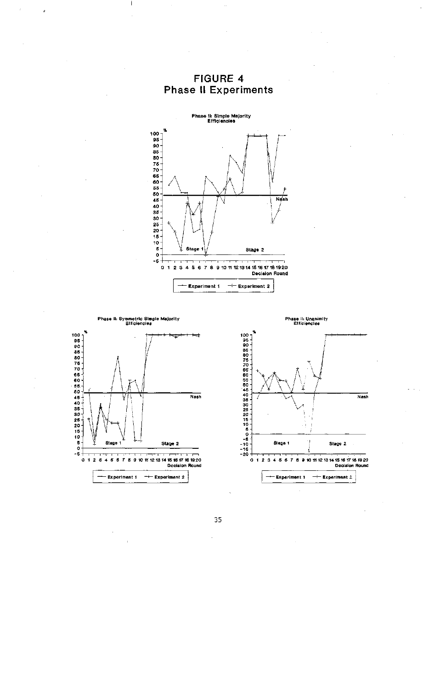

FIGURE 4 **Phase II Experiments** 

Phase II: Symmetric Simple Majority<br>Efficiencies



Phase il: Unanimity<br>Efficiencies

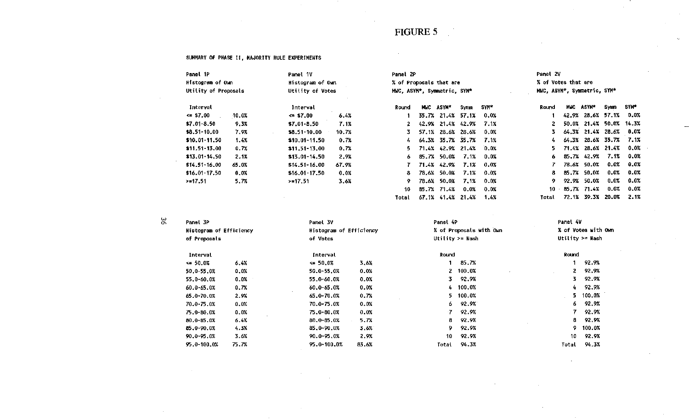#### SUMMARY OF PHASE II, MAJORITY RULE EXPERIMENTS

| Panel 1P             | Panel 1V |                  |       | Panel 2P                    |       |                        |         |         | Panel 2V                    |       |                   |             |         |
|----------------------|----------|------------------|-------|-----------------------------|-------|------------------------|---------|---------|-----------------------------|-------|-------------------|-------------|---------|
| Histogram of Own     |          | Histogram of Own |       | % of Proposals that are     |       |                        |         |         | % of Votes that are         |       |                   |             |         |
| Utility of Proposals |          | Utility of Votes |       | MWC, ASYM*, Symmetric, SYM* |       |                        |         |         | MWC, ASYM*, Symmetric, SYM* |       |                   |             |         |
| Interval             |          | Interval         |       | Round                       |       | MUC ASYM*              | Symm    | SYM*    | Round                       | MWC   | <b>ASYM*</b>      | <b>Symm</b> | SYM*    |
| $\Leftarrow$ \$7.00  | $10.0\%$ | $\leq$ \$7.00    | 6.4%  |                             |       | 35.7% 21.4%            | 57.1%   | 0.0%    |                             | 42.9% |                   | 28.6% 57.1% | 0.0%    |
| $$7.01 - 8.50$       | 9.3%     | $$7.01 - 8.50$   | 7.1%  | 2                           |       | 42.9% 21.4% 42.9%      |         | 7.1%    |                             |       | 50.0% 21.4% 50.0% |             | 14.3%   |
| \$8.51-10.00         | 7.9%     | \$8.51-10.00     | 10.7% |                             |       | 57.1% 28.6% 28.6%      |         | 0.0%    | 3.                          |       | 64.3% 21.4% 28.6% |             | $0.0\%$ |
| $$10.01 - 11.50$     | 1.4%     | $$10.01 - 11.50$ | 0.7%  | 4                           |       | 64.3% 35.7% 35.7% 7.1% |         |         |                             |       | 64.3% 28.6% 35.7% |             | 7.1%    |
| $$11.51-13.00$       | 0.7%     | $$11.51-13.00$   | 0.7%  | 5.                          |       | 71.4% 42.9% 21.4% 0.0% |         |         | 5.                          |       | 71.4% 28.6% 21.4% |             | 0.0%    |
| $$13.01 - 14.50$     | $2 - 1%$ | $$13.01 - 14.50$ | 2.9%  | 6.                          |       | 85.7% 50.0%            | 7.1%    | $0.0\%$ | 6.                          |       | 85.7% 42.9%       | 7.1%        | 0.0%    |
| \$14.51-16.00        | 65.0%    | $$14.51 - 16.00$ | 67.9% |                             |       | 71.4% 42.9%            | 7.1%    | $0.0\%$ |                             |       | 78.6% 50.0%       | 0.0%        | 0.0%    |
| $$16.01 - 17.50$     | 0.0%     | $$16.01 - 17.50$ | 0.0%  | -8                          | 78.6% | 50.0%                  | 7.1%    | $0.0\%$ | 8.                          |       | 85.7% 50.0%       | $0.0\%$     | 0.0%    |
| $> = 17.51$          | 5.7%     | >17.51           | 3.6%  | 9.                          | 78.6% | 50.0%                  | 7.1%    | 0.0%    | 9.                          |       | 92.9% 50.0%       | $0.0\%$     | 0.0%    |
|                      |          |                  |       | 10                          |       | 85.7% 71.4%            | $0.0\%$ | 0.0%    | 10                          |       | 85.7% 71.4%       | 0.0%        | 0.0%    |

Total 67.1% 41.4% 21.4% 1.4%

 $\sim$ 

Total 72.1% 39.3% 20.0% 2.1%

| Panel 3P                |       |                         | Panel 3V |              | Panel 4P                | Panel 4V          |                     |  |
|-------------------------|-------|-------------------------|----------|--------------|-------------------------|-------------------|---------------------|--|
| Histogram of Efficiency |       | Histogram of Efficiency |          |              | % of Proposals with Own |                   | % of Votes with Own |  |
| of Proposals            |       | of Votes                |          |              | Utility $> =$ Nash      | Utility $>=$ Nash |                     |  |
| Interval                |       | Interval                |          | Round        |                         | Round             |                     |  |
| $\le 50.0\%$            | 6.4%  | $\leq 50.0%$            | 3.6%     |              | 85.7%                   |                   | 92.9%               |  |
| 50.0-55.0%              | 0.0%  | $50.0 - 55.0%$          | 0.0%     | $\mathbf{z}$ | 100.0%                  | 2                 | 92.9%               |  |
| 55.0-60.0%              | 0.0%  | 55.0-60.0%              | 0.0%     | 3.           | 92.9%                   | 3.                | 92.9%               |  |
| 60.0-65.0%              | 0.7%  | $60.0 - 65.0%$          | 0.0%     |              | 4 100.0%                | 4.                | 92.9%               |  |
| 65.0-70.0%              | 2.9%  | 65.0-70.0%              | 0.7%     | 5.           | 100.0%                  | 5.                | 100.0%              |  |
| 70.0-75.0%              | 0.0%  | 70.0-75.0%              | 0.0%     | 6.           | - 92.9%                 | 6.                | 92.9%               |  |
| 75.0-80.0%              | 0.0%  | 75.0-80.0%              | 0.0%     | 7.           | 92.9%                   | 7.                | 92.9%               |  |
| $0.0 - 85.0%$           | 6.4%  | $80.0 - 35.0%$          | 5.7%     | 8.           | 92.9%                   | 8                 | 92.9%               |  |
| 85.0-90.0%              | 4.3%  | 85.0-90.0%              | 3.6%     | 9.           | 92.9%                   | 9.                | 100.0%              |  |
| 90.0-95.0%              | 3.6%  | 90.0-95.0%              | 2.9%     | 10           | 92.9%                   | 10                | 92.9%               |  |
| 95.0-100.0%             | 75.7% | 95.0-100.0%             | 83.6%    | Total        | 94.3%                   | Total             | 94.3%               |  |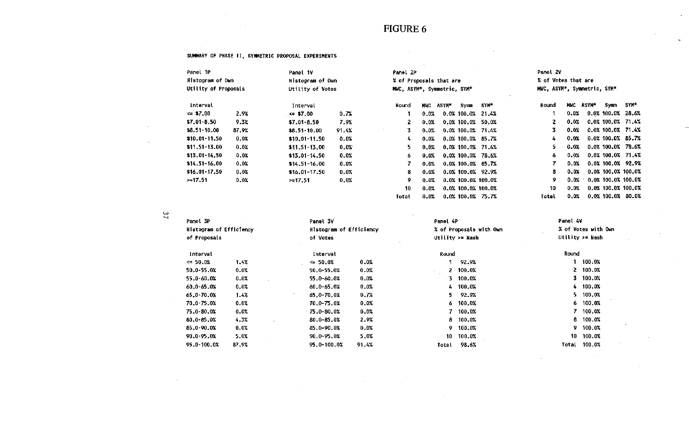$\sim 10^{-11}$ 

 $\sim 10^{-1}$ 

 $\sim$ 

 $\sim 10^{-1}$ 

#### SUMMARY OF PHASE 11, SYMMETRIC PROPOSAL EXPERIMENTS

 $\sim 10^{-1}$ 

 $\sim 100$ 

 $\sim 10^{-1}$ 

 $\sim 10^{-1}$ 

 $\sim$ 

| Panel 1P                 |       | Panel 1V             |         | Panel 2P                    |         |       |                      |       | Panel 2V                    |         |           |                       |      |
|--------------------------|-------|----------------------|---------|-----------------------------|---------|-------|----------------------|-------|-----------------------------|---------|-----------|-----------------------|------|
| Histogram of Own         |       | Histogram of Own     |         | % of Proposals that are     |         |       |                      |       | % of Votes that are         |         |           |                       |      |
| Utility of Proposals     |       | Utility of Votes     |         | MWC, ASYM*, Symmetric, SYM* |         |       |                      |       | MWC, ASYM*, Symmetric, SYM* |         |           |                       |      |
| Interval                 |       | Interval             |         | Round                       | MWC     | ASYM* | Symm                 | SYM*  | Round                       |         | MMC ASYN* | Symm                  | SYM* |
| $\Leftrightarrow$ \$7,00 | 2.9%  | $\leq$ \$7.00 $\leq$ | 0.7%    |                             | 0.0%    |       | $0.0\%$ 100.0%       | 21.4% |                             | 0.0%    |           | $0.0\%$ 100.0% 28.6%  |      |
| $$7.01 - 8.50$           | 9.3%  | $$7.01 - 8.50$       | 7.9%    | $\mathbf{2}$                | 0.0%    |       | $0.0\%$ 100.0%       | 50.0% | 2                           | 0.0%    |           | $0.0\%$ 100.0% 71.4%  |      |
| \$8.51-10.00             | 87.9% | $$8.51-10.00$        | 91.4%   | 3.                          | 0.0%    |       | $0.0\%$ 100.0% 71.4% |       | 3.                          | $0.0\%$ |           | $0.0\%$ 100.0% 71.4%  |      |
| $$10,01-11,50$           | 0.0%  | \$10.01-11.50        | 0.0%    | 4                           | $0.0\%$ |       | $0.0\%$ 100.0% 85.7% |       | 4                           | $0.0\%$ |           | $0.0\%$ 100.0% 85.7%  |      |
| $$11.51 - 13.00$         | 0.0%  | $$11.51-13.00$       | 0.0%    | 5.                          | 0.0%    |       | $0.0\%$ 100.0% 71.4% |       | 5.                          | 0.0%    |           | 0.0% 100.0% 78.6%     |      |
| $$13.01 - 14.50$         | 0.0%  | $$13.01-14.50$       | 0.0%    | 6.                          | 0.0%    |       | $0.0\%$ 100.0% 78.6% |       | 6                           | 0.0%    |           | $0.0\%$ 100.0% 71.4%  |      |
| $$14.51 - 16.00$         | 0.0%  | $$14.51 - 16.00$     | 0.0%    |                             | 0.0%    |       | $0.0\%$ 100.0% 85.7% |       | 7                           | 0.0%    |           | 0.0% 100.0% 92.9%     |      |
| $$16.01 - 17.50$         | 0.0%  | $$16.01-17.50$       | 0.0%    | 8.                          | 0.0%    |       | $0.0\%$ 100.0% 92.9% |       | 8                           | 0.0%    |           | $0.0\%$ 100.0% 100.0% |      |
| >17.51                   | 0.0%  | >17.51               | $0.0\%$ | 9.                          | 0.0%    |       | 0.0% 100.0% 100.0%   |       | 9                           | 0.0%    |           | 0.0% 100.0% 100.0%    |      |
|                          |       |                      |         | 10                          | 0.0%    |       | 0.0% 100.0% 100.0%   |       | 10                          | 0.0%    |           | $0.0X$ 100.0% 100.0%  |      |
|                          |       |                      |         | Total                       | 0.0%    |       | $0.0\%$ 100.0% 75.7% |       | Total                       | $0.0\%$ |           | $0.0\%$ 100.0% 80.0%  |      |

 $\overline{37}$ 

 $\sim 10^7$ 

 $\sim 10$ 

| Panel 3P                |       | Panel 3V                |       | Panel 4P |                         | Panel 4V | % of Votes with Own |
|-------------------------|-------|-------------------------|-------|----------|-------------------------|----------|---------------------|
| Histogram of Efficiency |       | Histogram of Efficiency |       |          | % of Proposals with Own |          |                     |
| of Proposals            |       | of Votes                |       |          | Utility $>=$ Nash       |          | Utility $>=$ Nash   |
| Interval                |       | Interval                |       | Round    |                         | Round    |                     |
| $\leq 50.0%$            | 1.4%  | $\leq 50.0\%$           | 0.0%  |          | 92.9%                   |          | 100.0%              |
| 50.0-55.0%              | 0.0%  | 50.0-55.0%              | 0.0%  | $\sim$   | 2, 100.0%               |          | 2, 100.0%           |
| 55.0-60.0%              | 0.0%  | 55.0-60.0%              | 0.0%  |          | $3$ 100.0%              |          | 3 100.0%            |
| 60.0-65.0%              | 0.0%  | $60.0 - 65.0%$          | 0.0%  |          | 4 100.0%                |          | 4 100.0%            |
| 65.0-70.0%              | 1.4%  | 65.0-70.0%              | 0.7%  | 5.       | 92.9%                   | 5.       | 100.0%              |
| 70.0-75.0%              | 0.0%  | 70.0-75.0%              | 0.0%  |          | $6, 100, 0\%$           | 6.       | 100.0%              |
| 75.0-80.0%              | 0.0%  | $75.0 - 80.0%$          | 0.0%  |          | 7 100.0%                |          | 7 100.0%            |
| 80.0-85.0%              | 4.3%  | $80.0 - 85.0%$          | 2.9%  |          | 8 100.0%                | 8.       | 100.0%              |
| 85.0-90.0%              | 0.0%  | 85.0-90.0%              | 0.0%  |          | 9 100.0%                | 9.       | 100.0%              |
| 90.0-95.0%              | 5.0%  | 90.0-95.0%              | 5.0%  | 10       | 100.0%                  | 10       | 100.0%              |
| 95.0-100.0%             | 87.9% | 95.0-100.0%             | 91.4% | Total    | 98.6%                   | Total    | 100.0%              |

 $\sim 10^{-1}$ 

 $\sim$   $\sim$ 

 $\sim 10^{-1}$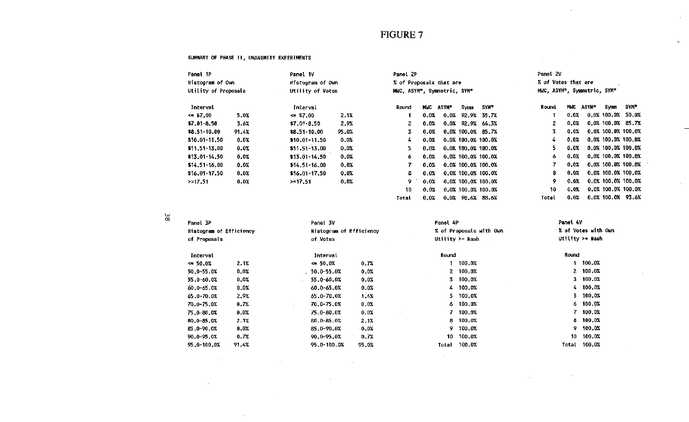$\sim$ 

Total 0.0% 0.0% 100.0% 93.6%

 $\sim 10^6$ 

 $\sim$ 

 $\label{eq:2.1} \frac{1}{\sqrt{2}}\int_{\mathbb{R}^3}\frac{1}{\sqrt{2}}\left(\frac{1}{\sqrt{2}}\right)^2\frac{1}{\sqrt{2}}\left(\frac{1}{\sqrt{2}}\right)^2\frac{1}{\sqrt{2}}\left(\frac{1}{\sqrt{2}}\right)^2.$ 

 $\mathcal{L}_{\text{max}}$  and  $\mathcal{L}_{\text{max}}$  and  $\mathcal{L}_{\text{max}}$ 

 $\sim$ 

 $\mathbf{v}_t$ 

 $\varphi_{\alpha\beta}$ 

#### SUMMARY OF PHASE II, UNANIMITY EXPERIMENTS

| Panel 1P             | Panel 1V |                  |         | Panel 2P                |            |                             |      |                      | Panel 2V            |      |                             |             |                       |  |  |
|----------------------|----------|------------------|---------|-------------------------|------------|-----------------------------|------|----------------------|---------------------|------|-----------------------------|-------------|-----------------------|--|--|
| Histogram of Own     |          | Histogram of Own |         | % of Proposals that are |            |                             |      |                      | % of Votes that are |      |                             |             |                       |  |  |
| Utility of Proposals |          | Utility of Votes |         |                         |            | MWC, ASYM*, Symmetric, SYM* |      |                      |                     |      | MWC, ASYM*, Symmetric, SYM* |             |                       |  |  |
| Interval             |          | Interval         |         | Round                   | <b>MNC</b> | ASYM*                       | Symm | SYK*                 | Round               | MMC  | <b>ASYM*</b>                | Symm        | SYM*                  |  |  |
| $\leq$ \$7,00        | 5.0%     | $\leq$ \$7.00    | 2.1%    |                         | 0.0%       |                             |      | $0.0\%$ 92.9% 35.7%  |                     | 0.0% |                             | 0.0% 100.0% | 50.0%                 |  |  |
| $$7.01 - 8.50$       | 3.6%     | $$7.01 - 8.50$   | 2.9%    |                         | 0.0%       |                             |      | $0.0\%$ 92.9% 64.3%  | 2                   | 0.0% |                             |             | 0.0% 100.0% 85.7%     |  |  |
| \$8.51-10.00         | 91.4%    | $$8.51-10.00$    | 95.0%   | 3                       | 0.0%       |                             |      | $0.0\%$ 100.0% 85.7% | 3                   | 0.0% |                             |             | 0.0% 100.0% 100.0%    |  |  |
| $$10.01-11.50$       | 0.0%     | $$10.01 - 11.50$ | 0.0%    | 4                       | 0.0%       |                             |      | 0.0% 100.0% 100.0%   | 4                   | 0.0% |                             |             | 0.0% 100.0% 100.0%    |  |  |
| $$11.51-13.00$       | 0.0%     | $$11.51 - 13.00$ | $0.0\%$ |                         | 0.0%       |                             |      | 0.0% 100.0% 100.0%   | 5.                  | 0.0% |                             |             | $0.0\%$ 100.0% 100.0% |  |  |
| $$13.01 - 14.50$     | 0.0%     | $$13.01 - 14.50$ | 0.0%    | 6.                      | 0.0%       |                             |      | 0.0% 100.0% 100.0%   | 6.                  | 0.0% |                             |             | 0.0% 100.0% 100.0%    |  |  |
| $$14.51 - 16.00$     | 0.0%     | $$14.51 - 16.00$ | 0.0%    |                         | 0.0%       |                             |      | 0.0% 100.0% 100.0%   |                     | 0.0% |                             |             | $0.0\%$ 100.0% 100.0% |  |  |
| $$16.01-17.50$       | 0.0%     | $$16.01 - 17.50$ | 0.0%    | 8                       | 0.0%       |                             |      | 0.0% 100.0% 100.0%   | 8.                  | 0.0% |                             |             | 0.0% 100.0% 100.0%    |  |  |
| >17.51               | 0.0%     | $> = 17.51$      | 0.0%    | 9.                      | 0.0%       |                             |      | 0.0% 100.0% 100.0%   | 9                   | 0.0% |                             |             | 0.0% 100.0% 100.0%    |  |  |
|                      |          |                  |         | 10                      | 0.07       |                             |      | 0.0% 100.0% 100.0%   | 10                  | 0.0% |                             |             | 0.0% 100.0% 100.0%    |  |  |

Total 0.0% 0.0% 98.6% 88.6%

 $\sim 10^{11}$ 

မ္မွ

 $\sim 10^{11}$ 

 $\sim 10^7$ 

**Contractor** 

 $\sim$ 

 $\sim 10^7$ 

| Panel 3P                |       |                                |       | Panel 4P     |                         | Panel 4V        |                     |  |
|-------------------------|-------|--------------------------------|-------|--------------|-------------------------|-----------------|---------------------|--|
| Histogram of Efficiency |       | <b>Histogram of Efficiency</b> |       |              | % of Proposals with Own |                 | % of Votes with Own |  |
| of Proposals            |       | of Votes                       |       |              | Utility >= Nash         | Utility >= Nash |                     |  |
| Interval                |       | Interval                       |       | <b>Round</b> |                         | Round           |                     |  |
| $\Leftarrow$ 50.0%      | 2.1%  | $\Leftarrow 50.0%$             | 0.7%  |              | 100.0%                  |                 | 1 100.0%            |  |
| 50.0-55.0%              | 0.0%  | 50.0-55.0%                     | 0.0%  |              | 2, 100.0%               |                 | 2 100.0%            |  |
| 55.0-60.0%              | 0.0%  | 55.0-60.0%                     | 0.0%  |              | 3 100.0%                |                 | 3 100.0%            |  |
| 60.0-65.0%              | 0.0%  | 60.0-65.0%                     | 0.0%  |              | 4 100.0%                |                 | 4 100.0%            |  |
| 65.0-70.0%              | 2.9%  | 65.0-70.0%                     | 1.4%  |              | $5 - 100.0%$            |                 | 5 100.0%            |  |
| 70.0-75.0%              | 0.7%  | $70.0 - 75.0%$<br>$\sim$       | 0.0%  |              | 6 100.0%                | 6.              | 100.0%              |  |
| 75.0-80.0X              | 0.0%  | 75.0-80.0%                     | 0.0%  |              | 7 100.0%                |                 | 7 100.0%            |  |
| 80.0-05.0%              | 2.1%  | 80.0-85.0%                     | 2.1%  |              | 8 100.0%                |                 | 8 100.0%            |  |
| 85.0-90.0%              | 0.0%  | 85.0-90.0%                     | 0.0%  | 9.           | 100.0%                  | 9.              | 100.0%              |  |
| 90.0-95.0%              | 0.7%  | 90.0-95.0%                     | 0.7%  | 10.          | 100.0%                  | 10              | 100.0%              |  |
| 95.0-100.0%             | 91.4% | 95.0-100.0%                    | 95.0% | Total        | 100.0%                  | Total           | 100.0%              |  |

 $\sim$ 

 $\sim 100$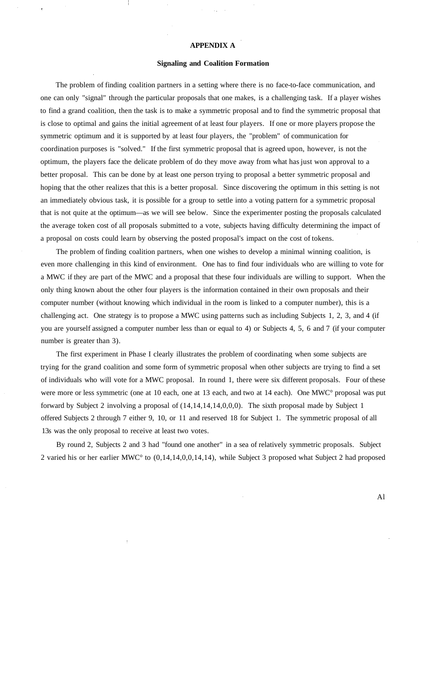#### **APPENDIX A**

#### **Signaling and Coalition Formation**

The problem of finding coalition partners in a setting where there is no face-to-face communication, and one can only "signal" through the particular proposals that one makes, is a challenging task. If a player wishes to find a grand coalition, then the task is to make a symmetric proposal and to find the symmetric proposal that is close to optimal and gains the initial agreement of at least four players. If one or more players propose the symmetric optimum and it is supported by at least four players, the "problem" of communication for coordination purposes is "solved." If the first symmetric proposal that is agreed upon, however, is not the optimum, the players face the delicate problem of do they move away from what has just won approval to a better proposal. This can be done by at least one person trying to proposal a better symmetric proposal and hoping that the other realizes that this is a better proposal. Since discovering the optimum in this setting is not an immediately obvious task, it is possible for a group to settle into a voting pattern for a symmetric proposal that is not quite at the optimum—as we will see below. Since the experimenter posting the proposals calculated the average token cost of all proposals submitted to a vote, subjects having difficulty determining the impact of a proposal on costs could learn by observing the posted proposal's impact on the cost of tokens.

The problem of finding coalition partners, when one wishes to develop a minimal winning coalition, is even more challenging in this kind of environment. One has to find four individuals who are willing to vote for a MWC if they are part of the MWC and a proposal that these four individuals are willing to support. When the only thing known about the other four players is the information contained in their own proposals and their computer number (without knowing which individual in the room is linked to a computer number), this is a challenging act. One strategy is to propose a MWC using patterns such as including Subjects 1, 2, 3, and 4 (if you are yourself assigned a computer number less than or equal to 4) or Subjects 4, 5, 6 and 7 (if your computer number is greater than 3).

The first experiment in Phase I clearly illustrates the problem of coordinating when some subjects are trying for the grand coalition and some form of symmetric proposal when other subjects are trying to find a set of individuals who will vote for a MWC proposal. In round 1, there were six different proposals. Four of these were more or less symmetric (one at 10 each, one at 13 each, and two at 14 each). One MWC° proposal was put forward by Subject 2 involving a proposal of (14,14,14,14,0,0,0). The sixth proposal made by Subject 1 offered Subjects 2 through 7 either 9, 10, or 11 and reserved 18 for Subject 1. The symmetric proposal of all 13s was the only proposal to receive at least two votes.

By round 2, Subjects 2 and 3 had "found one another" in a sea of relatively symmetric proposals. Subject 2 varied his or her earlier MWC° to (0,14,14,0,0,14,14), while Subject 3 proposed what Subject 2 had proposed

Al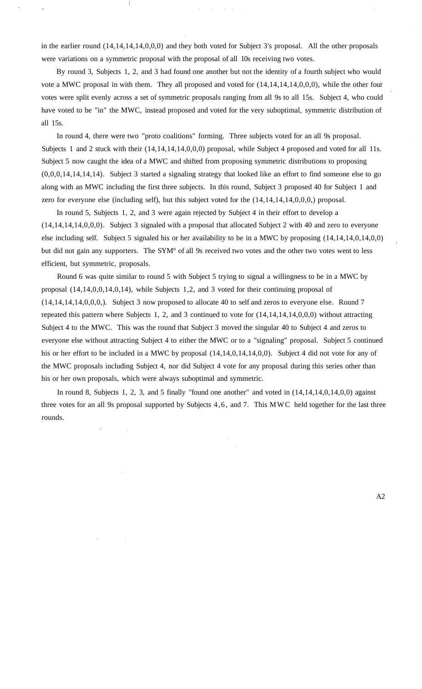in the earlier round (14,14,14,14,0,0,0) and they both voted for Subject 3's proposal. All the other proposals were variations on a symmetric proposal with the proposal of all 10s receiving two votes.

By round 3, Subjects 1, 2, and 3 had found one another but not the identity of a fourth subject who would vote a MWC proposal in with them. They all proposed and voted for (14,14,14,14,0,0,0), while the other four votes were split evenly across a set of symmetric proposals ranging from all 9s to all 15s. Subject 4, who could have voted to be "in" the MWC, instead proposed and voted for the very suboptimal, symmetric distribution of all 15s.

In round 4, there were two "proto coalitions" forming. Three subjects voted for an all 9s proposal. Subjects 1 and 2 stuck with their  $(14,14,14,14,0,0,0)$  proposal, while Subject 4 proposed and voted for all 11s. Subject 5 now caught the idea of a MWC and shifted from proposing symmetric distributions to proposing (0,0,0,14,14,14,14). Subject 3 started a signaling strategy that looked like an effort to find someone else to go along with an MWC including the first three subjects. In this round, Subject 3 proposed 40 for Subject 1 and zero for everyone else (including self), but this subject voted for the (14,14,14,14,0,0,0,) proposal.

In round 5, Subjects 1, 2, and 3 were again rejected by Subject 4 in their effort to develop a (14,14,14,14,0,0,0). Subject 3 signaled with a proposal that allocated Subject 2 with 40 and zero to everyone else including self. Subject 5 signaled his or her availability to be in a MWC by proposing (14,14,14,0,14,0,0) but did not gain any supporters. The SYM° of all 9s received two votes and the other two votes went to less efficient, but symmetric, proposals.

Round 6 was quite similar to round 5 with Subject 5 trying to signal a willingness to be in a MWC by proposal (14,14,0,0,14,0,14), while Subjects 1,2, and 3 voted for their continuing proposal of (14,14,14,14,0,0,0,). Subject 3 now proposed to allocate 40 to self and zeros to everyone else. Round 7 repeated this pattern where Subjects 1, 2, and 3 continued to vote for (14,14,14,14,0,0,0) without attracting Subject 4 to the MWC. This was the round that Subject 3 moved the singular 40 to Subject 4 and zeros to everyone else without attracting Subject 4 to either the MWC or to a "signaling" proposal. Subject 5 continued his or her effort to be included in a MWC by proposal  $(14,14,0,14,14,0,0)$ . Subject 4 did not vote for any of the MWC proposals including Subject 4, nor did Subject 4 vote for any proposal during this series other than his or her own proposals, which were always suboptimal and symmetric.

In round 8, Subjects 1, 2, 3, and 5 finally "found one another" and voted in (14,14,14,0,14,0,0) against three votes for an all 9s proposal supported by Subjects 4,6, and 7. This MWC held together for the last three rounds.

A2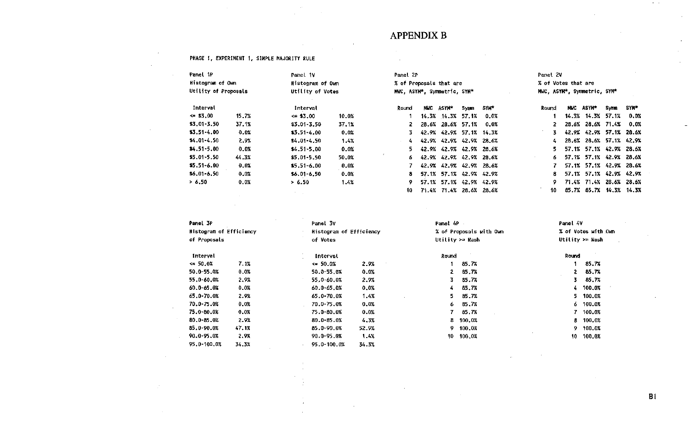## APPENDIX B

 $\label{eq:2.1} \frac{1}{\sqrt{2}}\sum_{i=1}^n\frac{1}{\sqrt{2}}\sum_{i=1}^n\frac{1}{\sqrt{2}}\sum_{i=1}^n\frac{1}{\sqrt{2}}\sum_{i=1}^n\frac{1}{\sqrt{2}}\sum_{i=1}^n\frac{1}{\sqrt{2}}\sum_{i=1}^n\frac{1}{\sqrt{2}}\sum_{i=1}^n\frac{1}{\sqrt{2}}\sum_{i=1}^n\frac{1}{\sqrt{2}}\sum_{i=1}^n\frac{1}{\sqrt{2}}\sum_{i=1}^n\frac{1}{\sqrt{2}}\sum_{i=1}^n\frac$ 

 $\sim 10^{11}$  km s  $^{-1}$ 

#### PHASE I, EXPERIMENT 1, SIMPLE MAJORITY RULE

 $\sim 10^7$ 

 $\sim 10^7$ 

 $\sim 10^7$ 

 $\sim$ 

 $\sim 10^{-1}$ 

 $\sim 100$ 

| Panel 1P             | Panel 1V |                  |       | Panel 2P                    |      |                         |      |                             | Panel 2V |  |                         |      |             |
|----------------------|----------|------------------|-------|-----------------------------|------|-------------------------|------|-----------------------------|----------|--|-------------------------|------|-------------|
| Histogram of Own     |          | Histogram of Own |       | % of Proposals that are     |      |                         |      | % of Votes that are         |          |  |                         |      |             |
| Utility of Proposals |          | Utility of Votes |       | MWC, ASYM*, Symmetric, SYM* |      |                         |      | MWC, ASYM*, Symmetric, SYM* |          |  |                         |      |             |
| Interval             |          | Interval         |       | Round                       | MINC | ASYN*                   | Symm | <b>SYM*</b>                 | Round    |  | <b>NMC ASYM*</b>        | Symm | <b>SYN*</b> |
| $\leq 53.00$         | 15.7%    | $\leq 33.00$     | 10.0% |                             |      | 14.3% 14.3% 57.1%       |      | 0.0%                        |          |  | 14.3% 14.3% 57.1%       |      | 0.0%        |
| $$3.01 - 3.50$       | 37.1%    | \$3.01-3.50      | 37.1% |                             |      | 28.6% 28.6% 57.1%       |      | 0.0%                        | 2.       |  | 28.6% 28.6% 71.4%       |      | 0.0%        |
| $$3.51 - 4.00$       | 0.0%     | $$3.51 - 4.00$   | 0.0%  |                             |      | 42.9% 42.9% 57.1% 14.3% |      |                             | 3.       |  | 42.9% 42.9% 57.1% 28.6% |      |             |
| $$4.01 - 4.50$       | 2.9%     | $$4.01 - 4.50$   | 1.4%  | 4.                          |      | 42.9% 42.9% 42.9% 28.6% |      |                             | 4.       |  | 28.6% 28.6% 57.1% 42.9% |      |             |
| $$4.51 - 5.00$       | $0.0\%$  | $$4.51 - 5.00$   | 0.0%  | 5.                          |      | 42.9% 42.9% 42.9% 28.6% |      |                             | 5.       |  | 57.1% 57.1% 42.9% 28.6% |      |             |
| $$5.01 - 5.50$       | 44.3%    | \$5,01-5.50      | 50.0% | 6.                          |      | 42.9% 42.9% 42.9% 28.6% |      |                             | 6        |  | 57.1% 57.1% 42.9% 28.6% |      |             |
| $$5.51 - 6.00$       | 0.0%     | \$5.51-6.00      | 0.0%  |                             |      | 42.9% 42.9% 42.9% 28.6% |      |                             |          |  | 57.1% 57.1% 42.9% 28.6% |      |             |
| $$6.01 - 6.50$       | 0.01     | $$6.01 - 6.50$   | 0.0%  | 8.                          |      | 57.1% 57.1% 42.9% 42.9% |      |                             | 8.       |  | 57.1% 57.1% 42.9% 42.9% |      |             |
| > 6.50               | 0.0%     | > 6.50           | 1.4%  | 9.                          |      | 57.1% 57.1% 42.9% 42.9% |      |                             | 9.       |  | 71.4% 71.4% 28.6% 28.6% |      |             |
|                      |          | <b>All State</b> |       | 10.                         |      | 71.4% 71.4% 28.6% 28.6% |      |                             | 10       |  | 85.7% 85.7% 14.3% 14.3% |      |             |

 $\mathcal{L}^{\text{max}}_{\text{max}}$ 

 $\sim$ 

| Panel 3P                |       | Panet 3V                |       | Panel 4P        |                         | Panel 4V |                     |
|-------------------------|-------|-------------------------|-------|-----------------|-------------------------|----------|---------------------|
| Histogram of Efficiency |       | Histogram of Efficiency |       |                 | % of Proposals with Own |          | % of Votes with Own |
| of Proposals            |       | of Votes                |       | Utility >= Nash |                         |          | Utility $>=$ Nash   |
| Interval                |       | Interval                |       | Round           |                         | Round    |                     |
| $\le 50.0%$             | 7.1%  | $\leq 50.0%$            | 2.9%  |                 | 85.7%                   |          | 85.7%               |
| 50.0-55.0%              | 0.0%  | 50.0-55.0%              | 0.0%  | 2               | 85.7%                   | 2        | 85.7%               |
| 55.0-60.0%              | 2.9%  | 55.0-60.0%              | 2.9%  | 3.              | 85.7%                   | 3.       | 85.7%               |
| 60.0-65.0%              | 0.0%  | 60.0-65.0%              | 0.0%  | 4               | 85.7%                   | 4.       | 100.0%              |
| 65.0-70.0%              | 2.9%  | 65.0-70.0%              | 1.4%  | 5.              | 85.7%                   | 5.       | 100.0%              |
| 70.0-75.0%              | 0.0%  | 70.0-75.0%              | 0.0%  | 6               | 85.7%                   | 6.       | 100.0%              |
| 75.0-80.0%              | 0.0%  | 75.0-80.0%              | 0.0%  |                 | 85.7%                   | 7.       | 100.0%              |
| 80.0-85.0%              | 2.9%  | $80.0 - 85.0%$          | 4.3%  | 8.              | 100.0%                  | 8.       | 100.0%              |
| 85.0-90.0%              | 47.1% | 85.0-90.0%              | 52.9% | 9               | 100.0%                  | 9.       | 100.0%              |
| 90.0-95.0%              | 2.9%  | 90.0-95.0%              | 1.4%  | 10              | 100.0%                  | 10.      | 100.0%              |
| 95.0-100.0%             | 34.3% | 95.0-100.0%             | 34.3% |                 |                         |          |                     |

 $B1$ 

 $\sim 10^{-1}$ 

 $\mathcal{A}=\mathcal{A}$  .

 $\mathcal{A}^{\mathcal{A}}$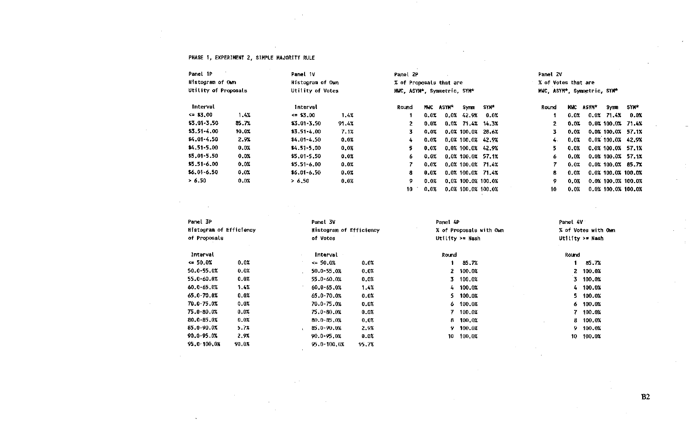#### PHASE 1, EXPERIMENT 2, SIMPLE MAJORITY RULE

 $\sim$  10  $\pm$ 

 $\sim$ 

 $\sim 10^7$ 

 $\Delta$ 

| Panel 1P             |       | Panel 1V         |       | Panel 2P                    |      |           |                       |       | Panel 2V                    |       |       |              |                      |
|----------------------|-------|------------------|-------|-----------------------------|------|-----------|-----------------------|-------|-----------------------------|-------|-------|--------------|----------------------|
| Histogram of Own     |       | Histogram of Own |       | % of Proposals that are     |      |           |                       |       | % of Votes that are         |       |       |              |                      |
|                      |       |                  |       |                             |      |           |                       |       |                             |       |       |              |                      |
| Utility of Proposals |       | Utility of Votes |       | MWC, ASYM*, Symmetric, SYM* |      |           |                       |       | MWC, ASYM*, Symmetric, SYM* |       |       |              |                      |
| Interval             |       | <b>Interval</b>  |       | Round                       |      | MWC ASYM* | Sупп                  | SYM*  | Round                       | MWC . | ASYM* | Symm         | 5YN*                 |
| $= $3.00$            | 1.4%  | $\leq 3.00$      | 1.4%  |                             | 0.0% |           | $0.0%$ 42.9%          | 0.0%  |                             | 0.0%  |       | $0.0%$ 71.4% | 0.0%                 |
| \$3.01-3.50          | 85.7% | \$3.01-3.50      | 91.4% |                             | 0.0% |           | $0.0\%$ 71.4% 14.3%   |       | 2.                          | 0.0%  |       |              | $0.0\%$ 100.0% 71.4% |
| $$3.51 - 4.00$       | 10.0% | $$3.51 - 4.00$   | 7.1%  |                             | 0.0% |           | $0.0X$ 100.0% 28.6%   |       | 3.                          | 0.0%  |       |              | $0.0X$ 100.0X 57.1X  |
| $$4.01 - 4.50$       | 2.9%  | $$4.01 - 4.50$   | 0.0%  | 4                           | 0.0% |           | 0.0% 100.0% 42.9%     |       | 4.                          | 0.01  |       |              | 0.0% 100.0% 42.9%    |
| $$4.51 - 5.00$       | 0.0%  | $$4.51 - 5.00$   | 0.0%  |                             | 0.0% |           | $0.0\%$ 100.0% 42.9%  |       | 5.                          | 0.0%  |       |              | 0.0% 100.0% 57.1%    |
| $$5.01 - 5.50$       | 0.0%  | $$5.01 - 5.50$   | 0.0%  | 6.                          | 0.0% |           | $0.0\%$ 100.0% 57.1%  |       | 6.                          | 0.0%  |       |              | $0.0\%$ 100.0% 57.1% |
| $$5.51 - 6.00$       | 0.0%  | $$5.51 - 6.00$   | 0.0%  |                             | 0.02 |           | $0.0\%$ 100.0% 71.4%  |       |                             | 0.0%  |       |              | $0.0\%$ 100.0% 85.7% |
| $$6.01 - 6.50$       | 0.0%  | $$6.01 - 6.50$   | 0.0%  | 8                           | 0.0% |           | 0.0%100.0%            | 71.4% | 8.                          | 0.0%  |       |              | 0.0% 100.0% 100.0%   |
| > 6.50               | 0.0%  | > 6,50           | 0.0%  | 9.                          | 0.0% |           | 0.0% 100.0% 100.0%    |       | 9.                          | 0.0%  |       |              | 0.0% 100.0% 100.0%   |
|                      |       |                  |       | 10                          | 0.0% |           | $0.0\%$ 100.0% 100.0% |       | 10                          | 0.0%  |       |              | 0.0% 100.0% 100.0%   |

#### $\alpha=1$

 $\sim$ 

 $\sim$ 

| Panel 3P                |       | Panel 3V                |       | Panel 4P |                         | Panel 4V |                     |
|-------------------------|-------|-------------------------|-------|----------|-------------------------|----------|---------------------|
| Histogram of Efficiency |       | Histogram of Efficiency |       |          | % of Proposals with Own |          | % of Votes with Own |
| of Proposals            |       | of Votes                |       |          | Utility $>=$ Nash       |          | Utility $>$ Nash    |
| Interval                |       | Interval                |       | Round    |                         | Round    |                     |
| $\leq 50.0\%$           | 0.0%  | $\leq 50.0\%$           | 0.0%  |          | 85.7%                   |          | 85.7%               |
| 50.0-55.0%              | 0.0%  | 50.0-55.0%              | 0.0%  |          | 2 100.0%                |          | 2 100.0%            |
| 55.0-60.0%              | 0.0%  | 55.0-60.0%              | 0.0%  |          | 3, 100.0%               | 3.       | 100.0%              |
| 60.0-65.0%              | 1.4%  | $60.0 - 65.0%$          | 1.4%  |          | 4 100.0%                |          | 4 100.0%            |
| 65.0-70.0%              | 0.0%  | $65.0 - 70.0%$          | 0.0%  |          | $5\quad 100.0%$         |          | 5 100.0%            |
| 70.0-75.0%              | 0.0%  | 70.0-75.0%              | 0.0%  |          | 6 100.0%                |          | $6\quad 100.0%$     |
| 75.0-80.0%              | 0.0%  | $75.0 - 80.02$          | 0.0%  |          | 7 100.0%                | 7.       | 100.0%              |
| 80.0-85.0%              | 0.01  | $80.0 - 85.0%$          | 0.0%  |          | $8 - 100.02$            | 8        | 100.0%              |
| $85.0 - 90.0X$          | 5.7%  | 85.0-90.0%              | 2.9%  | 9.       | 100.0%                  | 9.       | 100.0%              |
| 90.0-95.0%              | 2.9%  | 90.0-95.0%              | 0.0%  | 10       | 100.0%                  | 10       | 100.0%              |
| 95.0-100.0%             | 90.0% | 95.0-100.0%             | 95.7% |          |                         |          |                     |

 $\sim$ 

 $\sim$ 

 $\sim$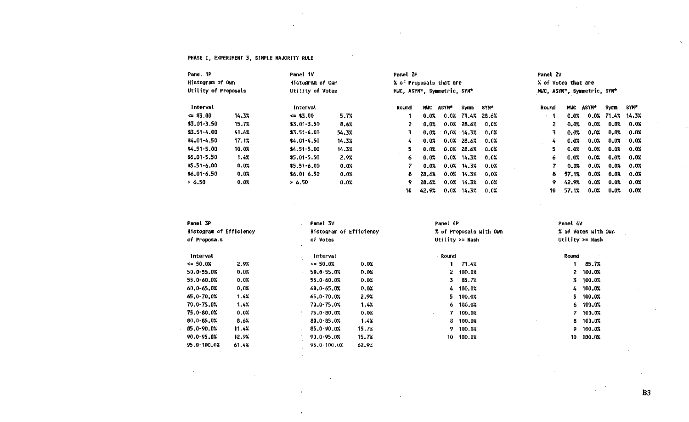#### PHASE I, EXPERIMENT 3, SIMPLE MAJORITY RULE

 $\sim$ 

 $\sim$ 

| Panel 1P             |       | Panel 1V         |       | Panel 2P                    |            |         |               |         | Panel 2V                    |            |         |       |         |
|----------------------|-------|------------------|-------|-----------------------------|------------|---------|---------------|---------|-----------------------------|------------|---------|-------|---------|
| Histogram of Own     |       | Histogram of Own |       | % of Proposais that are     |            |         |               |         | % of Votes that are         |            |         |       |         |
| Utility of Proposals |       | Utility of Votes |       | MWC, ASYM*, Symmetric, SYM* |            |         |               |         | MWC, ASYM*, Symmetric, SYM* |            |         |       |         |
| <b>Interval</b>      |       | Interval         |       | <b>Round</b>                | <b>MNC</b> | ASYM*   | <b>Symm</b>   | SYM*    | Round                       | <b>MUC</b> | ASYM*   | Symm  | SYN*    |
| $\leq$ \$3.00        | 14.3% | $\leq$ \$3.00    | 5.7%  |                             | 0.0%       | 0.0%    | 71.4%         | 28.6%   | $\cdot$ 1                   | 0.0%       | $0.0\%$ | 71.4% | 14.3%   |
| $$3.01-3.50$         | 15.7% | $$3.01 - 3.50$   | 8.6%  | 2.                          | 0.0%       | 0.0%    | 28.6%         | 0.0%    | $\overline{2}$              | 0.0%       | 0.0%    | 0.0%  | 0.0%    |
| $$3.51 - 4.00$       | 41.4% | $$3.51 - 4.00$   | 54.3% | 3.                          | 0.0%       | 0.0%    | 14.3%         | 0.0%    | 3.                          | 0.0%       | 0.0%    | 0.0%  | 0.0%    |
| \$4.01-4.50          | 17.1% | $$4.01 - 4.50$   | 14.3% | 4.                          | 0.0%       | 0.0%    | 28.6%         | $0.0\%$ | 4                           | 0.0%       | 0.0%    | 0.0%  | 0.0%    |
| \$4.51-5.00          | 10.0% | $$4.51 - 5.00$   | 14.3% | 5.                          | 0.0%       | 0.0%    | 28.6%         | $0.0\%$ | 5.                          | 0.0%       | 0.0%    | 0.0%  | $0.0\%$ |
| $$5.01 - 5.50$       | 1.4%  | $$5.01 - 5.50$   | 2.9%  | 6.                          | 0.0%       |         | $0.0%$ 14.3%  | $0.0\%$ | 6                           | 0.0%       | 0.0%    | 0.0%  | 0.0%    |
| \$5.51-6.00          | 0.0%  | $$5.51 - 6.00$   | 0.0%  |                             | 0.0%       | 0.07    | 14.3%         | 0.0%    | 7                           | 0.0%       | 0.0%    | 0.0%  | 0.0%    |
| $$6.01 - 6.50$       | 0.0%  | $$6.01 - 6.50$   | 0.0%  | 8.                          | 28.6%      | $0.0\%$ | 14.3%         | 0.0%    | 8                           | 57.1%      | 0.0%    | 0.0%  | 0.0%    |
| > 6.50               | 0.0%  | > 6.50           | 0.0%  | 9.                          | 28.6%      | 0.0%    | 14.3%         | 0.0%    | 9                           | 42.9%      | 0.0%    | 0.0%  | 0.0%    |
|                      |       |                  |       | 10                          | 42.9%      |         | $0.0\%$ 14.3% | $0.0\%$ | 10                          | 57.1%      | 0.0%    | 0.0%  | 0.0x    |

 $\cdot$ 

| Panel 3P                |       | Panel 3V                |       | Panel 4P |                         | Panel 4V     |                     |
|-------------------------|-------|-------------------------|-------|----------|-------------------------|--------------|---------------------|
| Histogram of Efficiency |       | Histogram of Efficiency |       |          | % of Proposals with Own |              | % of Votes with Own |
| of Proposals            |       | of Votes                |       |          | Utility >= Nash         |              | Utility >= Nash     |
| Interval                |       | Interval                |       | Round    |                         | Round        |                     |
| $\leq 50.0%$            | 2.9%  | $\leq 50.0\%$           | 0.0%  |          | 71.4%                   |              | 85.7%               |
| 50.0-55.0%              | 0.0%  | 50.0-55.0%              | 0.0%  |          | 2, 100.0%               |              | 2 100.0%            |
| 55.0-60.0%              | 0.0%  | 55.0-60.0%              | 0.0%  | 3.       | 85.7%                   |              | 3 100.0%            |
| 60.0-65.0%              | 0.0%  | 60.0-65.0%              | 0.0%  |          | 4 100.0%                | 4.<br>$\sim$ | 100.0%              |
| 65.0-70.0%              | 1.4%  | $65.0 - 70.0%$          | 2.9%  | 5.       | 100.0%                  | 5.           | 100.0%              |
| $70.0 - 75.0%$          | 1.4%  | 70.0-75.0%              | 1.4%  |          | $6\quad 100.0%$         |              | 6, 100.0%           |
| 75.0-80.0%              | 0.0%  | 75.0-80.0%              | 0.0%  | $\sim$   | 7 100,0%                | 7.           | 100.0%              |
| 80.0-85.0%              | 8.6%  | $80.0 - 85.0%$          | 1.4%  |          | 8 100.0%                | 8.           | 100.0%              |
| 85.0-90.0%              | 11.4X | 85.0-90.0%              | 15.7% | 9.       | 100.0%                  | 9.           | 100.0%              |
| 90.0-95.0%              | 12.9% | 90.0-95.0%              | 15.7% | 10       | 100.0%                  | 10           | 100.0%              |
| 95.0-100.0%             | 61.4% | 95.0-100.0%             | 62.9% |          |                         |              |                     |

 $\sim$ 

 $B3$ 

 $\sim 20$ 

 $\sim$ 

 $\sim 10^{-1}$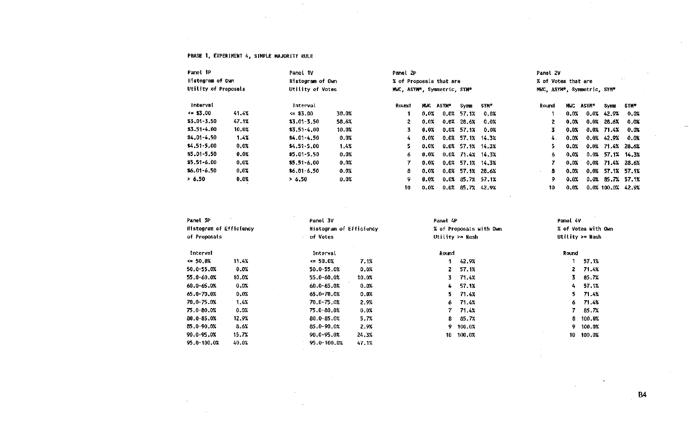#### PHASE 1, EXPERIMENT 4, SIMPLE MAJORITY RULE

 $\sim 10^{-1}$ 

 $\sim$ 

 $\sim 10^{-11}$  $\sim 10^{-1}$ 

 $\sim 100$ 

 $\alpha$  ,  $\alpha$  ,  $\alpha$ 

 $\sim$ 

 $\label{eq:2.1} \mathcal{L}(\mathcal{A}) = \mathcal{L}(\mathcal{A}) \otimes \mathcal{L}(\mathcal{A})$ 

 $\sim$ 

 $\sim 100$ 

| Panel 1P             | Panel 1V |                  |       | Panel 2P                    |       |              |                     |                     | Panel 2V                    |         |         |                     |             |
|----------------------|----------|------------------|-------|-----------------------------|-------|--------------|---------------------|---------------------|-----------------------------|---------|---------|---------------------|-------------|
| Histogram of Own     |          | Histogram of Own |       | % of Proposals that are     |       |              |                     |                     | % of Votes that are         |         |         |                     |             |
| Utility of Proposals |          | Utility of Votes |       | MWC, ASYM*, Symmetric, SYM* |       |              |                     |                     | MWC, ASYM*, Symmetric, SYM* |         |         |                     |             |
| Interval             |          | Interval         |       | Round                       | MMC . | <b>ASYM*</b> | Symm                | <b>SYM*</b>         | Round                       | MUC     | ASYM*   | Symm                | SYM*        |
| $\le$ \$3.00         | 41.4%    | $\leq$ \$3.00    | 30.0% |                             | 0.0%  |              | $0.0%$ 57.1%        | 0.0%                | $\sim$                      | 0.0%    |         | $0.0\%$ 42.9%       | 0.0%        |
| $$3.01 - 3.50$       | 47.1%    | \$3.01-3.50      | 58.6% | 2.                          | 0.0%  |              | $0.0%$ 28.6%        | 0.0%                | 2.                          | 0.01    |         | $0.0%$ 28.6%        | 0.0%        |
| $$3.51 - 4.00$       | 10.0%    | $$3.51 - 4.00$   | 10.0% | 3.                          | 0.0%  |              | $0.0\%$ 57.1%       | 0.0%                | 3.                          | 0.01    |         | 0.0% 71.4%          | 0.0%        |
| $$4.01 - 4.50$       | 1.4%     | $$4.01 - 4.50$   | 0.0%  | 4                           | 0.0%  |              | $0.0\%$ 57.1%       | 14.3%               | 4.                          | 0.01    |         | $0.0\%$ 42.9%       | 0.01        |
| $$4,51-5,00$         | 0.0%     | $$4.51 - 5.00$   | 1.4%  | 5.                          | 0.0%  |              | $0.0\%$ 57.1% 14.3% |                     | 5.                          | 0.0%    |         | $0.0\%$ 71.4% 28.6% |             |
| $$5.01 - 5.50$       | 0.0%     | \$5.01-5.50      | 0.0%  | 6.                          | 0.0%  |              |                     | $0.0\%$ 71.4% 14.3% | 6.                          | $0.0\%$ | 0.0%    |                     | 57.1% 14.3% |
| $$5.51 - 6.00$       | 0.0%     | $$5.51 - 6.00$   | 0.0%  |                             | 0.0%  |              | $0.0\%$ 57.1% 14.3% |                     |                             | 0.0%    | $0.0\%$ |                     | 71.4% 28.6% |
| $$6.01 - 6.50$       | 0.0%     | $$6.01 - 6.50$   | 0.0%  | 8.                          | 0.0%  |              | $0.0\%$ 57.1%       | 28.6%               | 8                           | 0.0%    | $0.0\%$ | 57.1% 57.1%         |             |
| > 6.50               | 0.0%     | > 6.50           | 0.0%  | 9                           | 0.0%  |              |                     | $0.0\%$ 85.7% 57.1% | 9.                          | $0.0\%$ | 0.0%    | 85.7% 57.1%         |             |
|                      |          |                  |       | 10                          | 0.0%  |              | $0.0\%$ 85.7%       | 42.9%               | 10.                         | 0.0%    |         | $0.0\%$ 100.0%      | 42.9%       |

 $\sim 10^{-1}$ 

 $\sim 100$ 

 $\mathcal{L}^{\mathcal{L}}$ 

| Panel 3P                |       | Panel 3V                |                         | Panel 4P     |                         | Panel 4V |                     |
|-------------------------|-------|-------------------------|-------------------------|--------------|-------------------------|----------|---------------------|
| Histogram of Efficiency |       |                         | Histogram of Efficiency |              | % of Proposals with Own |          | % of Votes with Own |
| of Proposals            |       | of Votes                |                         |              | Utility $\ge$ Nash      |          | Utility $>=$ Nash   |
| Interval                |       | Interval                |                         | <b>Round</b> |                         | Round    |                     |
| $\leq 50.01$            | 11.4% | $\leftrightarrow$ 50.0% | 7.1%                    |              | 42.9%                   |          | 57.1%               |
| 50.0-55.0%              | 0.0%  | 50.0-55.0%              | 0.0%                    | 2            | 57.1%                   | 2.       | 71.4%               |
| 55.0-60.0%              | 10.0% | 55.0-60.0%              | 10.0%                   | 3.           | 71.4%                   | 3.       | 85.7%               |
| 60.0-65.0%              | 0.0%  | 60.0-65.0%              | 0.0%                    | 4.           | 57.1%                   | 4        | 57.1%               |
| 65.0-70.0%              | 0.0%  | 65.0-70.0%              | 0.0%                    | 5.           | 71.4%                   | 5.       | 71.4%               |
| $70.0 - 75.0%$          | 1.4%  | 70.0-75.0%              | 2.9%                    | 6.           | 71.4%                   | 6.       | 71.4%               |
| 75.0-80.0%              | 0.0%  | 75.0-80.0%              | 0.0%                    | 7.           | 71.4%                   | 7.       | 85.7%               |
| $80.0 - 85.0%$          | 12.9% | 80.0-85.0%              | 5.7%                    | 8.           | 85.7%                   | 8        | 100.0%              |
| 85.0-90.0%              | 8.6%  | 85.0-90.0%              | 2.9%                    | 9.           | 100.0%                  | 9        | 100.0%              |
| 90.0-95.0%              | 15.7% | 90.0-95.0%              | 24.3%                   | 10           | 100.0%                  | 10.      | 100.0%              |
| 95.0-100.0X             | 40.0% | 95.0-100.0%             | 47.1%                   |              |                         |          |                     |

 $\sim$   $\sim$ 

 $\sim$ 

 $\sim$ 

 $\sim$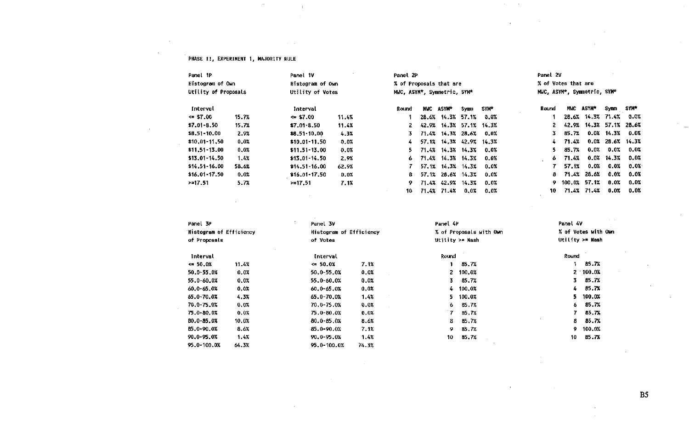#### PRASE 11, EXPERIMENT 1, MAJORITY RULE

 $\sim$ 

 $\ddot{\phantom{1}}$ 

 $\sim 1$ 

 $\sim$ 

 $\alpha$  and  $\alpha$ 

| Panel 1P             |       | Panel 1V         |       | Panel 2P                    |       |                           |             |      | Panel 2V |                     |                             |                     |         |
|----------------------|-------|------------------|-------|-----------------------------|-------|---------------------------|-------------|------|----------|---------------------|-----------------------------|---------------------|---------|
| Histogram of Own     |       | Histogram of Own |       |                             |       | % of Proposals that are   |             |      |          | % of Votes that are |                             |                     |         |
| Utility of Proposals |       | Utility of Votes |       | MWC, ASYM*, Symmetric, SYM* |       |                           |             |      |          |                     | MWC, ASYM*, Symmetric, SYM* |                     |         |
| Interval             |       | Interval         |       | Round                       |       | MWC ASYM*                 | Symm        | SYM* | Round    |                     | MWC ASYM*                   | Symm                | SYN*    |
| $\leq$ \$7.00        | 15.7% | $\approx$ \$7.00 | 11.4% |                             |       | 28.6% 14.3% 57.1% 0.0%    |             |      |          |                     | 28.6% 14.3% 71.4%           |                     | $0.0\%$ |
| $$7.01 - 8.50$       | 15.7% | $$7.01 - 8.50$   | 11.4% |                             |       | 2 42.9% 14.3% 57.1% 14.3% |             |      |          |                     | 42.9% 14.3% 57.1% 28.6%     |                     |         |
| \$8,51-10.00         | 2.9%  | $$8.51-10.00$    | 4.3%  | 3.                          |       | 71.4% 14.3% 28.6% 0.0%    |             |      | 3.       | 85.7%               |                             | $0.0\%$ 14.3%       | 0.0%    |
| $$10.01 - 11.50$     | 0.0%  | $$10.01 - 11.50$ | 0.0%  | 4                           |       | 57.1% 14.3% 42.9% 14.3%   |             |      | - 4 -    | 71.4%               |                             | $0.0\%$ 28.6% 14.3% |         |
| $$11.51-13.00$       | 0.0%  | $$11.51 - 13.00$ | 0.0%  | 5.                          |       | 71.4% 14.3% 14.3% 0.0%    |             |      | 5.       | 85.7%               | 0.0%                        | 0.0%                | 0.0%    |
| $$13.01-14.50$       | 1.4%  | $$13.01 - 14.50$ | 2.9%  | 6.                          |       | 71.4% 14.3% 14.3% 0.0%    |             |      | 6.       | 71.4%               |                             | $0.0\%$ 14.3%       | 0.0%    |
| $$14.51 - 16.00$     | 58.6% | $$14.51 - 16.00$ | 62.9% |                             | 57.1% |                           | 14.3% 14.3% | 0.0% |          | 57.1%               | $0.0\%$                     | 0.0%                | 0.0%    |
| \$16.01-17.50        | 0.0%  | $$16.01-17.50$   | 0.0%  | 8.                          |       | 57.1% 28.6% 14.3%         |             | 0.0% | 8.       |                     | 71.4% 28.6%                 | $0.0\%$             | 0.0%    |
| >17.51               | 5.7%  | $> = 17.51$      | 7.1%  | 9.                          |       | 71.4% 42.9% 14.3%         |             | 0.0% |          |                     | 9 100.0% 57.1%              | 0.0%                | 0.0%    |
|                      |       |                  |       | 10                          |       | 71.4% 71.4%               | 0.0%        | 0.0% | 10       |                     | 71.4% 71.4%                 | 0.0%                | 0.0%    |

| Panel 3P                       |                  | Panel 3V                |       | Panel 4P                | Panel 4V            |
|--------------------------------|------------------|-------------------------|-------|-------------------------|---------------------|
| <b>Histogram of Efficiency</b> |                  | Histogram of Efficiency |       | % of Proposals with Own | % of Votes with Own |
| of Proposals                   |                  | of Votes                |       | Utility >= Nash         | Utility >= Nash     |
| Interval                       |                  | Interval                |       | Round                   | Round               |
| $\leftrightarrow$ 50.0%        | 11.4%            | $\leq 50.0%$            | 7.1%  | 85.7%                   | 85.7%               |
| 50.0-55.0%                     | 0.0%             | 50.0-55.0%              | 0.0%  | 2 100.0%                | $2 - 100.0%$        |
| 55.0-60.0%                     | 0.0%             | 55.0-60.0%              | 0.0%  | 3.<br>85.7%             | 85.7%<br>3.         |
| 60.0-65.0%                     | 0.0%             | 60.0-65.0%              | 0.0%  | 4 100.0%                | 85.7%<br>4.         |
| 65.0-70.0%                     | 4.3 <sub>k</sub> | 65.0-70.0%              | 1.4%  | $5\quad 100.0%$         | 5.<br>100.0%        |
| 70.0-75.0%                     | 0.0%             | 70.0-75.0%              | 0.0%  | 85.7%<br>6.             | 85.7%<br>6.         |
| 75.0-80.0%                     | 0.0%             | 75.0-80.0%              | 0.0%  | 85.7%                   | 7.<br>85.7%         |
| 80.0-85.0%                     | 10.0%            | 80.0-85.0%              | 8.6%  | 85.7%<br>8.             | 85.7%<br>8.         |
| 85.0-90.0%                     | 8.6%             | 85.0-90.0%              | 7.1%  | 9.<br>85.7%             | 100.0%<br>9.        |
| 90.0-95.0%                     | 1.4%             | 90.0-95.0%              | 1.4%  | 10<br>85.7%             | 85.7%<br>10         |
| 95.0-100.0%                    | 64.3%            | 95.0-100.0%             | 74.3% |                         |                     |

**B5** 

 $\sim$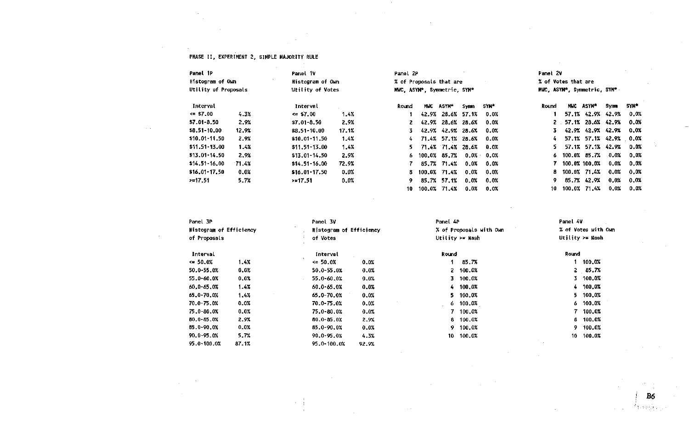#### PHASE II, EXPERIMENT 2, SIMPLE MAJORITY RULE

 $\sim 10^{-1}$ 

 $\sim$   $\sim$ 

 $\sim$ 

 $\sim 10^7$ 

 $\sim 1000$ 

 $\sim 10^{-1}$  $\mathcal{A}$ 

 $\sim 10^7$ 

| Panel 1P             |       | Panel 1V         |       | Panel 2P |       |                             |             |         | Panel 2V            |     |                             |         |             |
|----------------------|-------|------------------|-------|----------|-------|-----------------------------|-------------|---------|---------------------|-----|-----------------------------|---------|-------------|
| Histogram of Own     |       | Histogram of Own |       |          |       | % of Proposals that are     |             |         | % of Votes that are |     |                             |         |             |
| Utility of Proposals |       | Utility of Votes |       |          |       | MWC, ASYM*, Symmetric, SYM* |             |         |                     |     | MWC, ASYM*, Symmetric, SYM* |         |             |
| Interval             |       | Interval         |       | Round    | MUC   | ASYM*                       | Symm        | SYM*    | Round               | MUC | ASYN*                       | Symm    | <b>SYN*</b> |
| $\leq$ \$7.00        | 4.3%  | $= 57.00$        | 1.4%  |          | 42.9% |                             | 28.6% 57.1% | $0.0\%$ |                     |     | 57.1% 42.9% 42.9%           |         | $0.0\%$     |
| $$7.01 - 8.50$       | 2.9%  | $$7.01 - 8.50$   | 2.9%  |          |       | 42.9% 28.6% 28.6%           |             | 0.0%    |                     |     | $2.57.1\%$ 28.6% 42.9%      |         | 0.0%        |
| \$8,51-10,00         | 12.9% | $$8.51 - 10.00$  | 17.1% | 3.       |       | 42.9% 42.9% 28.6%           |             | 0.0%    |                     |     | 42.9% 42.9% 42.9% 0.0%      |         |             |
| \$10.01-11.50        | 2.9%  | $$10.01 - 11.50$ | 1.4%  | 4.       |       | 71.4% 57.1% 28.6%           |             | 0.0%    | 4.                  |     | 57.1% 57.1% 42.9% 0.0%      |         |             |
| \$11.51-13.00        | 1.4%  | $$11.51-13.00$   | 1.4%  | 5.       |       | 71.4% 71.4% 28.6%           |             | 0.0%    | 5.                  |     | 57.1% 57.1% 42.9% 0.0%      |         |             |
| \$13.01-14.50        | 2.9%  | $$13.01-14.50$   | 2.9%  | 6.       |       | 100.0% 85.7%                | $0.0\%$     | 0.0%    |                     |     | $6\quad 100.0\%$ 85.7%      | $0.0\%$ | 0.0%        |
| $$14.51 - 16.00$     | 71.4% | $$14.51 - 16.00$ | 72.9% |          |       | 85.7% 71.4%                 | 0.0%        | 0.0%    |                     |     | 100.0% 100.0%               | $0.0\%$ | 0.0%        |
| \$16.01-17.50        | 0.0%  | $$16.01-17.50$   | 0.0%  | 8.       |       | 100.0% 71.4%                | $0.0\%$     | 0.0%    |                     |     | 8 100.0% 71.4%              | 0.0%    | 0.0%        |
| >17.51               | 5.7%  | >17.51           | 0.0%  | 9.       |       | 85.7% 57.1%                 | 0.0%        | 0.0%    | 9.                  |     | 85.7% 42.9%                 | 0.0%    | 0.0%        |
|                      |       |                  |       | 10.      |       | 100.0% 71.4%                | 0.0%        | 0.0%    | 10                  |     | 100.0% 71.4%                | $0.0\%$ | 0.0%        |

 $\sim 10^{-1}$ 

 $\sim$ 

 $\sim 10^7$ 

 $\sim 10^7$ 

 $\sim 10^{-1}$ 

 $\sim 10^{-1}$ 

| Panel 3P                |       | Panel 3V                |       | Panel 4P |                         | Panel 4V |                     |
|-------------------------|-------|-------------------------|-------|----------|-------------------------|----------|---------------------|
| Histogram of Efficiency |       | Histogram of Efficiency |       |          | % of Proposals with Own |          | % of Votes with Own |
| of Proposals            |       | of Votes                |       |          | Utility $>$ = Nash      |          | Utility >= Nash     |
| Interval                |       | Interval                |       | Round    |                         | Round    |                     |
| $\leq 50.0%$            | 1.4%  | $\leq 50.0%$            | 0.0%  |          | 85.7%                   |          | 100.0%              |
| 50.0-55.0%              | 0.0%  | 50.0-55.0%              | 0.0%  | 2.       | 100.0%                  |          | 285.7%              |
| 55.0-60.0%              | 0.0%  | 55.0-60.0%              | 0.0%  | 3.       | 100.0%                  |          | $3, 100, 0\%$       |
| 60.0-65.0%              | 1.4%  | 60.0-65.0%              | 0.0%  | 4.       | 100.0%                  | 4        | 100.0%              |
| 65.0-70.0%              | 1.4%  | 65.0-70.0%              | 0.0%  | 5.       | 100.0%                  |          | 5 100.0%            |
| 70.0-75.0%              | 0.0%  | 70.0-75.0%              | 0.0%  |          | $6 - 100.0%$            |          | $6\quad 100.0%$     |
| 75.0-80.0%              | 0.0%  | 75.0-80.0%              | 0.0%  |          | 100.0%                  |          | 100.0%              |
| 80.0-85.0%              | 2.9%  | $80.0 - 05.0%$          | 2.9%  | 8.       | 100.0%                  |          | 8 100.0%            |
| 85.0-90.0%              | 0.0%  | 85.0-90.0%              | 0.0%  | 9.       | 100.0%                  | 9.       | 100.0%              |
| 90.0-95.0%              | 5.7%  | 90.0-95.0%              | 4.3%  | 10.      | 100.0%                  | 10       | 100.0%              |
| 95.0-100.0%             | 87.1% | 95.0-100.0%             | 92.9% |          |                         |          |                     |

 $\sim 10^6$ 

 $\sim 10^4$ 

 $\sim$ 

 $\sim \frac{1}{4}$ 

 $\sim$  1  $^{\circ}$ 

 $\mathbf{r}$ 

**B**<sub>6</sub> 手段的ない

 $\sim$ 

 $\alpha\in\mathcal{A}$ 

 $\sim$   $\sim$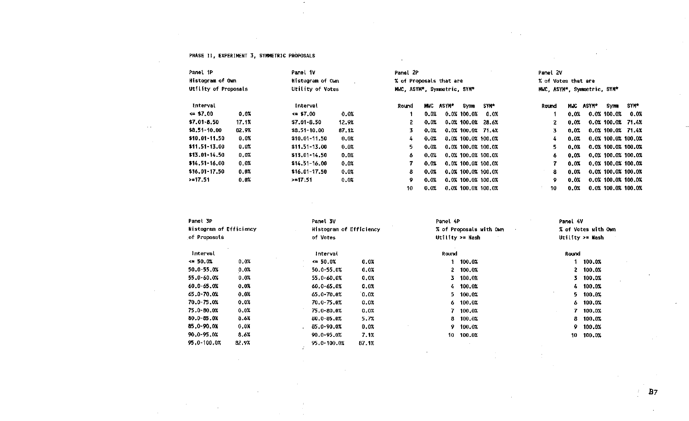#### PHASE II, EXPERIMENT 3, SYMMETRIC PROPOSALS

 $\sim$ 

 $\sim$ 

 $\sim$ 

 $\sim 10^{-1}$ 

 $\mathbb{R}^2$ 

 $\sim$   $\sim$ 

| Panel 1P         | Histogram of Own<br>Utility of Proposals |                     | Panel 1V<br>Histogram of Own<br>Utility of Votes |       | Panel 2P<br>% of Proposals that are<br>MWC, ASYM*, Symmetric, SYM* |       |             |                       |       | Panel 2V<br>% of Votes that are<br>MWC, ASYM*, Symmetric, SYM* |           |                |                       |  |  |  |
|------------------|------------------------------------------|---------------------|--------------------------------------------------|-------|--------------------------------------------------------------------|-------|-------------|-----------------------|-------|----------------------------------------------------------------|-----------|----------------|-----------------------|--|--|--|
| Interval         |                                          | Interval            |                                                  | Round | MHC .                                                              | ASYM* | <b>Symm</b> | SYM*                  | Round |                                                                | MUC ASYM* | Symm.          | SYM*                  |  |  |  |
| $\approx$ \$7.00 | 0.01                                     | $\Leftarrow$ \$7.00 | 0.0%                                             |       | 0.0%                                                               |       | 0.0% 100.0% | 0.0%                  |       | $0.0\%$                                                        |           | $0.0\%$ 100.0% | 0.0%                  |  |  |  |
| $$7.01 - 8.50$   | 17.1%                                    | $$7,01 - 8,50$      | 12.9%                                            | 2.    | 0.0%                                                               |       |             | $0.0\%$ 100.0% 28.6%  | 2     | $0.0\%$                                                        |           |                | $0.0\%$ 100.0% 71.4%  |  |  |  |
| $$8.51-10.00$    | 82.9%                                    | \$8.51-10.00        | 87.1%                                            | 3.    | 0.0%                                                               |       |             | $0.0\%$ 100.0% 71.4%  | 3     | 0.0%                                                           |           |                | $0.0\%$ 100.0% 71.4%  |  |  |  |
| $$10.01 - 11.50$ | 0.0%                                     | \$10.01-11.50       | 0.0%                                             | 4     | 0.0%                                                               |       |             | 0.0% 100.0% 100.0%    | 4     | 0.0%                                                           |           |                | $0.0$ $100.0$ $100.0$ |  |  |  |
| $$11.51 - 13.00$ | 0.0%                                     | \$11.51-13.00       | 0.0%                                             | 5.    | 0.0%                                                               |       |             | $0.0\%$ 100.0% 100.0% | 5.    | 0.0%                                                           |           |                | 0.0% 100.0% 100.0%    |  |  |  |
| $$13.01 - 14.50$ | 0.0%                                     | $$13.01 - 14.50$    | 0.0%                                             | 6     | 0.0%                                                               |       |             | 0.0% 100.0% 100.0%    | 6.    | 0.0%                                                           |           |                | $0.0\%$ 100.0% 100.0% |  |  |  |
| $$14.51-16.00$   | 0.0%                                     | $$14.51 - 16.00$    | 0.0%                                             |       | 0.0%                                                               |       |             | $0.0\%$ 100.0% 100.0% | 7     | 0.02                                                           |           |                | 0.0% 100.0% 100.0%    |  |  |  |
| $$16.01 - 17.50$ | 0.0%                                     | $$16.01-17.50$      | 0.0%                                             | 8.    | 0.0%                                                               |       |             | 0.0% 100.0% 100.0%    | 8     | 0.0%                                                           |           |                | 0.0% 100.0% 100.0%    |  |  |  |
| >17.51           | 0.0%                                     | >17.51              | 0.0%                                             | 9.    | 0.0%                                                               |       |             | 0.0% 100.0% 100.0%    | 9     | 0.0%                                                           |           |                | $0.0\%$ 100.0% 100.0% |  |  |  |
|                  |                                          |                     |                                                  | 10    | $0.0\%$                                                            |       |             | 0.0% 100.0% 100.0%    | 10    | $0.0\%$                                                        |           |                | 0.0% 100.0% 100.0%    |  |  |  |

 $\sim$ 

 $\sim$ 

 $\frac{1}{2}$ 

 $\sim$ 

 $\mathcal{I}^{\mathbb{Z}}$ 

 $\sim 10^{-1}$ 

 $\sim$ 

 $\sim 10^{-1}$ 

 $\epsilon$ 

| Panel 3P<br><b>Histogram of Efficiency</b> |         | Panel 3V       |                         | Panel 4P     |                                   | Panel 4V            |                    |  |
|--------------------------------------------|---------|----------------|-------------------------|--------------|-----------------------------------|---------------------|--------------------|--|
|                                            |         |                | Histogram of Efficiency |              | % of Proposals with Own<br>$\sim$ | % of Votes with Own |                    |  |
| of Proposals                               |         | of Votes       |                         |              | Utility $>$ Nash                  |                     | Utility $> =$ Nash |  |
| Interval                                   |         | Interval       |                         | <b>Round</b> |                                   | Round               |                    |  |
| $\leq 50.0%$                               | 0.0%    | $\leq 50.0\%$  | $0.0\%$                 |              | 100.0%                            |                     | 100.0%             |  |
| 50.0-55.0%                                 | 0.0%    | 50.0-55.0%     | $0.0\%$                 |              | 2, 100.0%                         | 2.                  | 100.0%             |  |
| 55.0-60.0%                                 | 0.0%    | 55.0-60.0%     | $0.0\%$                 |              | 3 100.0%                          | 3.                  | 100.0%             |  |
| 60.0-65.0%                                 | 0.0%    | $60.0 - 65.0%$ | 0.0%                    |              | $4$ 100.0%                        | 4.                  | 100.0%             |  |
| 65.0-70.0%                                 | 0.0%    | 65.0-70.0%     | 0.0%                    |              | $5\quad 100.0%$                   | 5.                  | 100.0%             |  |
| 70.0-75.0%                                 | 0.0%    | $70.0 - 75.0%$ | 0.0%                    |              | $6\quad 100.0%$                   | 6.                  | 100,0%             |  |
| 75.0-80.0%                                 | 0.0%    | 75.0-80.0%     | 0.0%                    |              | 7 100.0%                          | 7.<br>$\mathbf{r}$  | 100.0%             |  |
| 80.0-85.0%                                 | 0.67    | 80.0-85.0%     | 5.7%                    |              | $8, 100, 0\%$                     | 8.                  | 100,0%             |  |
| 85.0-90.0%                                 | $0.0\%$ | 85.0-90.0X     | 0.0%                    |              | 9 100.0%                          | 9.                  | 100.0%             |  |
| 90.0-95.0%                                 | 8.6%    | 90.0-95.0%     | 7.1%                    | 10           | 100.0%                            | 10                  | 100.0%             |  |
| 95,0-100,0%                                | 82.9%   | 95.0-100.0%    | 87.1%                   |              |                                   |                     |                    |  |

H.

 $\sim$ 

 $\sim$   $\sim$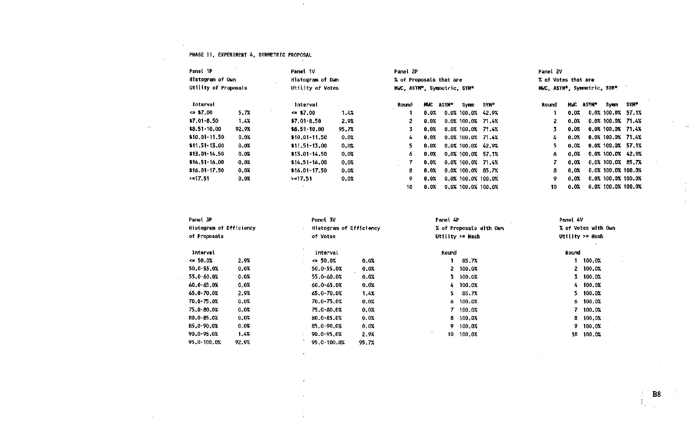#### PHASE II, EXPERIMENT 4, SYMMETRIC PROPOSAL

 $\mathbf{r}$ 

 $\mathbf{v}$ 

| Panel 1P             | Panel 1V<br>Panel 2P |                         |         | Panel 2V                    |         |       |                      |       |                             |      |              |                       |             |
|----------------------|----------------------|-------------------------|---------|-----------------------------|---------|-------|----------------------|-------|-----------------------------|------|--------------|-----------------------|-------------|
| Histogram of Own     |                      | <b>Histogram of Own</b> |         | % of Proposals that are     |         |       | % of Votes that are  |       |                             |      |              |                       |             |
| Utility of Proposals |                      | Utility of Votes        |         | MWC, ASYM*, Symmetric, SYM* |         |       |                      |       | MWC, ASYM*, Symmetric, SYM* |      |              |                       |             |
| <b>Interval</b>      |                      | Interval                |         | Round                       | MWC     | ASYM* | Symm                 | SYM*  | Round                       | MUC  | <b>ASYM*</b> | Symm                  | <b>SYM*</b> |
| $\leq$ \$7.00        | 5.7%                 | $\leq 1.00$             | 1.4%    |                             | 0.0%    |       | $0.0\%$ 100.0%       | 42.9% |                             | 0.0% |              | $0.0\%$ 100.0% 57.1%  |             |
| $$7.01 - 8.50$       | 1.4%                 | $$7.01 - 8.50$          | 2.9%    |                             | $0.0\%$ |       | 0.0% 100.0% 71.4%    |       | 2                           | 0.0% |              | $0.0\%$ 100.0% 71.4%  |             |
| $$8.51 - 10.00$      | 92.9%                | $$8.51-10.00$           | 95.7%   | 3.                          | $0.0\%$ |       | $0.0\%$ 100.0% 71.4% |       | 3.                          | 0.0% |              | $0.0\%$ 100.0% 71.4%  |             |
| $$10.01 - 11.50$     | 0.0%                 | $$10.01 - 11.50$        | 0.0%    | 4.                          | 0.0%    |       | 0.0% 100.0% 71.4%    |       | 4                           | 0.0% |              | 0.0% 100.0% 71.4%     |             |
| $$11.51-13.00$       | 0.0%                 | $$11.51-13.00$          | 0.0%    |                             | 0.0%    |       | 0.0% 100.0% 42.9%    |       | 5.                          | 0.0% |              | $0.0\%$ 100.0% 57.1%  |             |
| \$13.01-14.50        | 0.0%                 | $$13.01-14.50$          | 0.0%    | 6.                          | 0.0%    |       | 0.0% 100.0% 57.1%    |       | 6                           | 0.0% |              | $0.0\%$ 100.0% 42.9%  |             |
| $$14.51 - 16.00$     | 0.0%                 | $$14.51 - 16.00$        | 0.0%    |                             | 0.0%    |       | 0.0% 100.0%          | 71.4% | 7                           | 0.0% |              | $0.0\%$ 100.0% 85.7%  |             |
| $$16.01-17.50$       | 0.0%                 | $$16.01-17.50$          | 0.0%    | 8                           | 0.0%    |       | 0.0% 100.0% 85.7%    |       | 8                           | 0.0% |              | 0.0% 100.0% 100.0%    |             |
| $> = 17.51$          | $0.0\%$              | >17.51                  | $0.0\%$ | 9                           | 0.0%    |       | 0.0% 100.0% 100.0%   |       | 9                           | 0.0% |              | 0.0% 100.0% 100.0%    |             |
|                      |                      |                         |         | 10                          | $0.0\%$ |       | 0.0% 100.0% 100.0%   |       | 10                          | 0.0% |              | $0.0\%$ 100.0% 100.0% |             |

 $\sim$ 

| Panel 3P<br>Histogram of Efficiency |       | Panel 3V<br>Histogram of Efficiency |       | Panel 4P | % of Proposals with Own | Panel 4V<br>% of Votes with Own |                            |  |
|-------------------------------------|-------|-------------------------------------|-------|----------|-------------------------|---------------------------------|----------------------------|--|
| of Proposals                        |       | of Votes                            |       |          | Utility $>=$ Nash       |                                 | Utility $>$ $\approx$ Nash |  |
| Interval                            |       | Interval                            |       | Round    |                         | Round                           |                            |  |
| $\leq 50.0%$                        | 2.9%  | $\leq 50.0%$                        | 0.0%  |          | 85.7%                   |                                 | 100.0%                     |  |
| $50.0 - 55.0%$                      | 0.0%  | 50.0-55.0%                          | 0.0%  |          | $2, 100, 0\%$           |                                 | 2 100.0%                   |  |
| 55.0-60.0%                          | 0.0%  | 55.0-60.0%                          | 0.0%  |          | 3 100.0%                |                                 | 3 100.0%                   |  |
| 60.0-65.0%                          | 0.0%  | 60.0-65.0%                          | 0.0%  |          | 4 100.0%                |                                 | 4 100.0%                   |  |
| 65.0-70.0%                          | 2.9%  | 65.0-70.0%                          | 1.4%  | 5.       | 85.7%                   |                                 | $5 - 100.0%$               |  |
| 70.0-75.0%                          | 0.0%  | 70.0-75.0%                          | 0.0%  |          | 6 100.0%                |                                 | $6$ 100.0%                 |  |
| 75.0-80.0%                          | 0.0%  | 75.0-80.0%                          | 0.0%  |          | 7 100.0%                | 7.                              | 100.0%                     |  |
| 80.0-85.0%                          | 0.0%  | 80.0-85.0%                          | 0.0%  | 8.       | 100.0%                  | 8.                              | 100.0%                     |  |
| 85.0-90.0%                          | 0.01  | 85.0-90.0%                          | 0.0%  |          | 9 100.0%                |                                 | 9 100,0%                   |  |
| 90.0-95.0%                          | 1.4%  | 90.0-95.0%                          | 2.9%  | 10       | 100.0%                  | 10                              | 100.0%                     |  |
| 95.0-100.0%                         | 92.9% | 95.0-100.0%                         | 95.7% |          |                         |                                 |                            |  |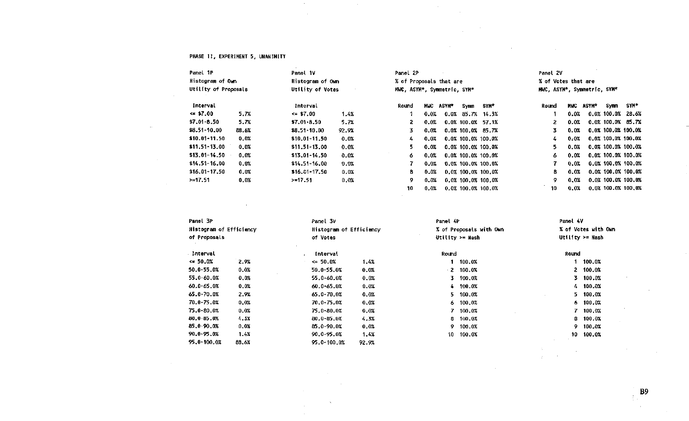#### PHASE II, EXPERIMENT 5, UNANIMITY

 $\sim 100$  km s  $^{-1}$ 

 $\sim$ 

 $\sim 100$ 

 $\sim 1000$ 

 $\sim 10^{-1}$ 

 $\sim 10^{-1}$ 

 $\sim 10^{-1}$ 

 $\sim 100$ 

 $\sim$   $\infty$ 

 $\sim 10^{-11}$ 

 $\sim$  $\sim 10^{-1}$   $\sim 100$ 

 $\sim 10^{-1}$ 

| Panel 1P             | Panel 1V<br>Panel 2P |                  |       |                             | Panel 2V |       |                                                    |                       |       |       |       |             |                      |
|----------------------|----------------------|------------------|-------|-----------------------------|----------|-------|----------------------------------------------------|-----------------------|-------|-------|-------|-------------|----------------------|
| Histogram of Own     |                      | Histogram of Own |       | % of Proposals that are     |          |       | % of Votes that are<br>MWC, ASYM*, Symmetric, SYM* |                       |       |       |       |             |                      |
| Utility of Proposals |                      | Utility of Votes |       | MWC, ASYM*, Symmetric, SYM* |          |       |                                                    |                       |       |       |       |             |                      |
| Interval             |                      | Interval         |       | Round                       | MUC      | ASYM* | Symm                                               | SYM*                  | Round | MWC . | ASYM* | Symm        | SYM*                 |
| $\leq$ \$7.00        | 5.7%                 | $\leq$ \$7.00    | 1.4%  |                             | 0.0%     |       | $0.0\%$ 85.7%                                      | 14.3%                 |       | 0.0%  |       | 0.0% 100.0% | 28.6%                |
| $$7.01 - 8.50$       | 5.7%                 | $$7.01 - 8.50$   | 5.7%  |                             | 0.0%     |       |                                                    | $0.0\%$ 100.0% 57.1%  | 2.    | 0.0%  |       |             | $0.0\%$ 100.0% 85.7% |
| $$8.51 - 10.00$      | 88.6%                | \$8.51-10.00     | 92.9% |                             | 0.0%     |       |                                                    | 0.0% 100.0% 85.7%     | 3.    | 0.0%  |       |             | 0.0% 100.0% 100.0%   |
| $$10.01-11.50$       | 0.0%                 | $$10.01 - 11.50$ | 0.0%  | 4.                          | 0.0%     |       |                                                    | 0.0% 100.0% 100.0%    | 4.    | 0.0%  |       |             | 0.0% 100.0% 100.0%   |
| $$11.51 - 13.00$     | 0.0%                 | $$11.51-13.00$   | 0.0%  | 5.                          | 0.0%     |       |                                                    | 0.0% 100.0% 100.0%    | 5.    | 0.0%  |       |             | 0.0% 100.0% 100.0%   |
| $$13.01 - 14.50$     | 0.0%                 | $$13.01 - 14.50$ | 0.0%  | 6.                          | 0.0%     |       |                                                    | $0.0$ $100.0$ $100.0$ | 6.    | 0.0%  |       |             | 0.0% 100.0% 100.0%   |
| $$14.51 - 16.00$     | 0.0%                 | $$14.51 - 16.00$ | 0.0%  |                             | 0.0%     |       |                                                    | 0.0% 100.0% 100.0%    |       | 0.0%  |       |             | 0.0% 100.0% 100.0%   |
| $$16.01 - 17.50$     | 0.0%                 | $$16.01-17.50$   | 0.0%  | 8                           | 0.0%     |       |                                                    | 0.0% 100.0% 100.0%    | 8     | 0.0%  |       |             | 0.0% 100.0% 100.0%   |
| >17.51               | 0.0%                 | >17.51           | 0.0%  | 9                           | $0.0\%$  |       |                                                    | 0.0% 100.0% 100.0%    | 9.    | 0.0%  |       |             | 0.0% 100.0% 100.0%   |
|                      |                      |                  |       | 10                          | 0.0%     |       |                                                    | $0.0\%$ 100.0% 100.0% | 10    | 0.0%  |       |             | 0.0% 100.0% 100.0%   |

 $\sim$ 

 $\sim 100$ 

 $\sim 10^{-1}$ 

 $\sim 100$ 

 $\mathcal{O}(\mathcal{O}_\mathcal{O})$  . The contract of the set of the set of the set of the set of the  $\mathcal{O}(\mathcal{O}_\mathcal{O})$ 

 $\sim 10^{11}$  km s  $^{-1}$ 

 $\sim 10^{-1}$ 

| Panel 3P       |                                                    | Panel 3V           |                         | Panel 4P            |                 |       | Panel 4V           |  |  |  |
|----------------|----------------------------------------------------|--------------------|-------------------------|---------------------|-----------------|-------|--------------------|--|--|--|
|                | Histogram of Efficiency<br>Histogram of Efficiency |                    | % of Proposals with Own | % of Votes with Own |                 |       |                    |  |  |  |
| of Proposals   |                                                    | of Votes           |                         |                     | Utility >= Nash |       | Utility $\ge$ Nash |  |  |  |
| Interval       |                                                    | $\sim$<br>Interval |                         | Round               |                 | Round |                    |  |  |  |
| $\leq 50.0\%$  | 2.9%                                               | $\leq 50.0%$       | 1.4%                    |                     | 100.0%          |       | 100.0%             |  |  |  |
| 50.0-55.0%     | 0.0%                                               | 50.0-55.0%         | 0.0%                    | -2                  | 100.0%          | 2     | 100.0%             |  |  |  |
| 55.0-60.0%     | 0.0%                                               | 55.0-60.0%         | 0.0%                    | 3                   | 100.0%          | 3.    | 100.0%             |  |  |  |
| $60.0 - 65.0%$ | 0.0%                                               | 60.0-65.0%         | 0.0%                    | 4.                  | 100.0%          | 4.    | 100.0%             |  |  |  |
| 65.0-70.0%     | 2.9%                                               | 65.0-70.0%         | 0.0%                    | 5.                  | 100.0%          | 5.    | 100.0%             |  |  |  |
| 70.0-75.0%     | 0.0%                                               | $70,0 - 75,0%$     | 0.0%                    | 6.                  | 100.0%          | 6.    | 100.0%             |  |  |  |
| 75.0-80.0%     | 0.0%                                               | 75.0-80.0%         | 0.0%                    |                     | 100.0%          |       | 100.0%             |  |  |  |
| 80.0-85.0%     | 4.3X                                               | 80.0-85.0X         | 4.3%                    | 8                   | 100.0%          | 8     | 100.0%             |  |  |  |
| 85.0-90.0%     | 0.0%                                               | 85,0-90.0%         | 0.0%                    | 9                   | 100.0%          | 9.    | 100.0%             |  |  |  |
| 90.0-95.0%     | 1.4X                                               | $90.0 - 95.0%$     | 1.4%                    | 10                  | 100,0%          | 10    | 100.0%             |  |  |  |
| 95,0-100.0%    | 88.6%                                              | 95.0-100.0%        | 92.9%                   |                     |                 |       |                    |  |  |  |
|                |                                                    |                    |                         |                     |                 |       |                    |  |  |  |
|                |                                                    |                    |                         |                     |                 |       |                    |  |  |  |

**College** 

 $\sim$ 

 $\sim 100$